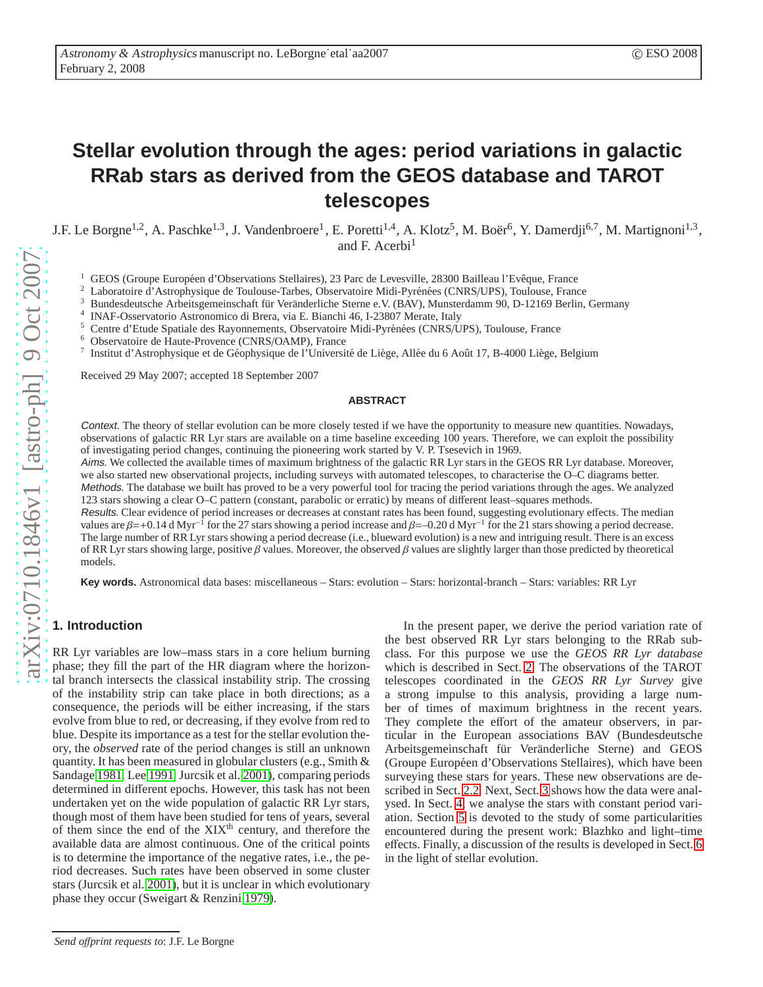# **Stellar evolution through the ages: period variations in galactic RRab stars as derived from the GEOS database and TAROT telescopes**

J.F. Le Borgne<sup>1,2</sup>, A. Paschke<sup>1,3</sup>, J. Vandenbroere<sup>1</sup>, E. Poretti<sup>1,4</sup>, A. Klotz<sup>5</sup>, M. Boër<sup>6</sup>, Y. Damerdji<sup>6,7</sup>, M. Martignoni<sup>1,3</sup>, and F. Acerbi 1

<sup>1</sup> GEOS (Groupe Européen d'Observations Stellaires), 23 Parc de Levesville, 28300 Bailleau l'Evêque, France

Laboratoire d'Astrophysique de Toulouse-Tarbes, Observatoire Midi-Pyrénées (CNRS/UPS), Toulouse, France

Bundesdeutsche Arbeitsgemeinschaft für Veränderliche Sterne e.V. (BAV), Munsterdamm 90, D-12169 Berlin, Germany

4 INAF-Osservatorio Astronomico di Brera, via E. Bianchi 46, I-23807 Merate, Italy

<sup>5</sup> Centre d'Etude Spatiale des Rayonnements, Observatoire Midi-Pyrénées (CNRS/UPS), Toulouse, France

<sup>6</sup> Observatoire de Haute-Provence (CNRS /OAMP), France

7 Institut d'Astrophysique et de Géophysique de l'Université de Liège, Allée du 6 Août 17, B-4000 Liège, Belgium

Received 29 May 2007; accepted 18 September 2007

#### **ABSTRACT**

Context. The theory of stellar evolution can be more closely tested if we have the opportunity to measure new quantities. Nowadays , observations of galactic RR Lyr stars are available on a time baseline exceeding 100 years. Therefore, we can exploit the possibility of investigating period changes, continuing the pioneering work started by V. P. Tsesevich in 1969.

Aims. We collected the available times of maximum brightness of the galactic RR Lyr stars in the GEOS RR Lyr database. Moreover, we also started new observational projects, including surveys with automated telescopes, to characterise the O–C diagrams better.

Methods. The database we built has proved to be a very powerful tool for tracing the period variations through the ages. We analyzed 123 stars showing a clear O–C pattern (constant, parabolic or erratic) by means of di fferent least–squares methods.

Results. Clear evidence of period increases or decreases at constant rates has been found, suggesting evolutionary e ffects. The median values are  $\beta$ =+0.14 d Myr<sup>-1</sup> for the 27 stars showing a period increase and  $\beta$ =-0.20 d Myr<sup>-1</sup> for the 21 stars showing a period decrease. The large number of RR Lyr stars showing a period decrease (i.e., blueward evolution) is a new and intriguing result. There is an excess of RR Lyr stars showing large, positive  $\beta$  values. Moreover, the observed  $\beta$  values are slightly larger than those predicted by theoretical models.

**Key words.** Astronomical data bases: miscellaneous – Stars: evolution – Stars: horizontal-branch – Stars: variables: RR Lyr

# **1. Introduction**

RR Lyr variables are low–mass stars in a core helium burning phase; they fill the part of the HR diagram where the horizontal branch intersects the classical instability strip. The crossing of the instability strip can take place in both directions; as a consequence, the periods will be either increasing, if the stars evolve from blue to red, or decreasing, if they evolve from red to blue. Despite its importance as a test for the stellar evolution theory, the *observed* rate of the period changes is still an unknown quantity. It has been measured in globular clusters (e.g., Smith & Sandage [1981,](#page-11-0) Lee [1991,](#page-11-1) Jurcsik et al. [2001\)](#page-10-0), comparing periods determined in di fferent epochs. However, this task has not been undertaken yet on the wide population of galactic RR Lyr stars, though most of them have been studied for tens of years, several of them since the end of the  $XIX<sup>th</sup>$  century, and therefore the available data are almost continuous. One of the critical points is to determine the importance of the negative rates, i.e., the period decreases. Such rates have been observed in some cluster stars (Jurcsik et al. [2001\)](#page-10-0), but it is unclear in which evolutionary phase they occur (Sweigart & Renzini [1979\)](#page-11-2).

In the present paper, we derive the period variation rate of the best observed RR Lyr stars belonging to the RRab subclass. For this purpose we use the *GEOS RR Lyr database* which is described in Sect. [2.](#page-1-0) The observations of the TAROT telescopes coordinated in the *GEOS RR Lyr Survey* give a strong impulse to this analysis, providing a large number of times of maximum brightness in the recent years. They complete the e ffort of the amateur observers, in particular in the European associations BAV (Bundesdeutsche Arbeitsgemeinschaft für Veränderliche Sterne) and GEOS (Groupe Européen d'Observations Stellaires), which have been surveying these stars for years. These new observations are described in Sect. [2.2.](#page-1-1) Next, Sect. [3](#page-2-0) shows how the data were analysed. In Sect. [4,](#page-6-0) we analyse the stars with constant period variation. Section [5](#page-7-0) is devoted to the study of some particularities encountered during the present work: Blazhko and light–tim e e ffects. Finally, a discussion of the results is developed in Sect. [6](#page-7-1) in the light of stellar evolution.

*Send o*ff*print requests to*: J.F. Le Borgne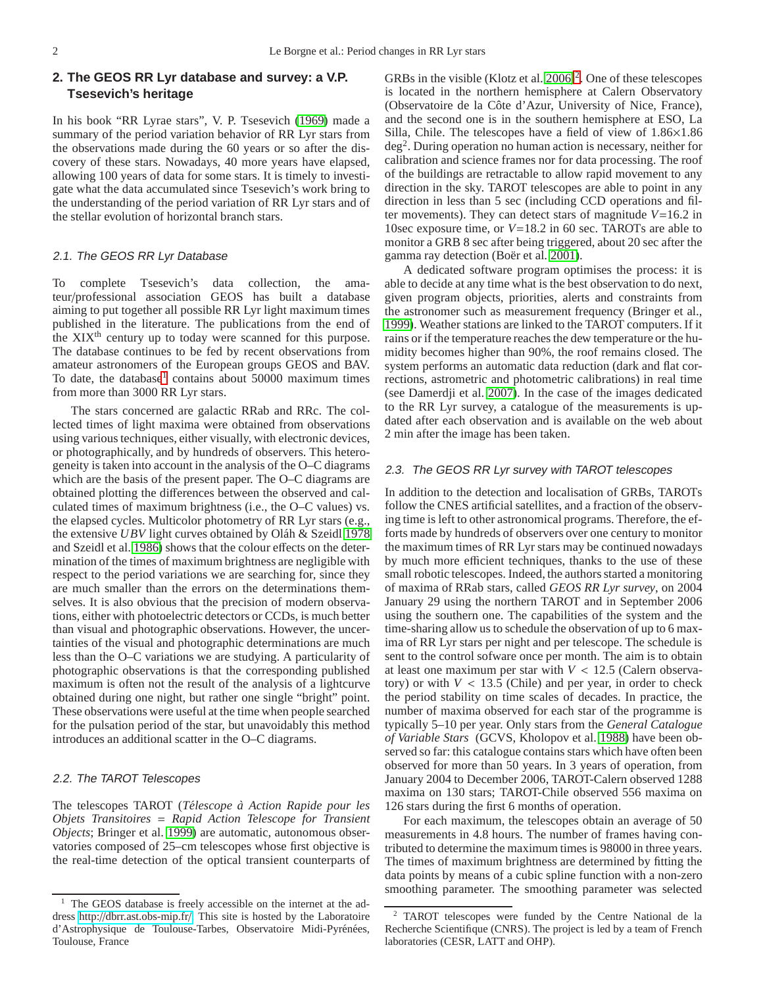# <span id="page-1-0"></span>**2. The GEOS RR Lyr database and survey: a V.P. Tsesevich's heritage**

In his book "RR Lyrae stars", V. P. Tsesevich [\(1969\)](#page-11-3) made a summary of the period variation behavior of RR Lyr stars from the observations made during the 60 years or so after the discovery of these stars. Nowadays, 40 more years have elapsed, allowing 100 years of data for some stars. It is timely to investigate what the data accumulated since Tsesevich's work bring to the understanding of the period variation of RR Lyr stars and of the stellar evolution of horizontal branch stars.

# 2.1. The GEOS RR Lyr Database

To complete Tsesevich's data collection, the amateur/professional association GEOS has built a database aiming to put together all possible RR Lyr light maximum times published in the literature. The publications from the end of the XIX<sup>th</sup> century up to today were scanned for this purpose. The database continues to be fed by recent observations from amateur astronomers of the European groups GEOS and BAV. To date, the database<sup>[1](#page-1-2)</sup> contains about 50000 maximum times from more than 3000 RR Lyr stars.

The stars concerned are galactic RRab and RRc. The collected times of light maxima were obtained from observations using various techniques, either visually, with electronic devices, or photographically, and by hundreds of observers. This heterogeneity is taken into account in the analysis of the O–C diagrams which are the basis of the present paper. The O–C diagrams are obtained plotting the differences between the observed and calculated times of maximum brightness (i.e., the O–C values) vs. the elapsed cycles. Multicolor photometry of RR Lyr stars (e.g., the extensive *UBV* light curves obtained by Oláh & Szeidl [1978](#page-11-4) and Szeidl et al. [1986\)](#page-11-5) shows that the colour effects on the determination of the times of maximum brightness are negligible with respect to the period variations we are searching for, since they are much smaller than the errors on the determinations themselves. It is also obvious that the precision of modern observations, either with photoelectric detectors or CCDs, is much better than visual and photographic observations. However, the uncertainties of the visual and photographic determinations are much less than the O–C variations we are studying. A particularity of photographic observations is that the corresponding published maximum is often not the result of the analysis of a lightcurve obtained during one night, but rather one single "bright" point. These observations were useful at the time when people searched for the pulsation period of the star, but unavoidably this method introduces an additional scatter in the O–C diagrams.

# <span id="page-1-1"></span>2.2. The TAROT Telescopes

The telescopes TAROT (*T´elescope `a Action Rapide pour les Objets Transitoires* = *Rapid Action Telescope for Transient Objects*; Bringer et al. [1999\)](#page-10-1) are automatic, autonomous observatories composed of 25–cm telescopes whose first objective is the real-time detection of the optical transient counterparts of

GRBs in the visible (Klotz et al.  $2006$  $2006$ )<sup>2</sup>. One of these telescopes is located in the northern hemisphere at Calern Observatory (Observatoire de la Côte d'Azur, University of Nice, France), and the second one is in the southern hemisphere at ESO, La Silla, Chile. The telescopes have a field of view of 1.86×1.86 deg<sup>2</sup> . During operation no human action is necessary, neither for calibration and science frames nor for data processing. The roof of the buildings are retractable to allow rapid movement to any direction in the sky. TAROT telescopes are able to point in any direction in less than 5 sec (including CCD operations and filter movements). They can detect stars of magnitude *V*=16.2 in 10sec exposure time, or *V*=18.2 in 60 sec. TAROTs are able to monitor a GRB 8 sec after being triggered, about 20 sec after the gamma ray detection (Boër et al. [2001\)](#page-10-3).

A dedicated software program optimises the process: it is able to decide at any time what is the best observation to do next, given program objects, priorities, alerts and constraints from the astronomer such as measurement frequency (Bringer et al., [1999\)](#page-10-1). Weather stations are linked to the TAROT computers. If it rains or if the temperature reaches the dew temperature or the humidity becomes higher than 90%, the roof remains closed. The system performs an automatic data reduction (dark and flat corrections, astrometric and photometric calibrations) in real time (see Damerdji et al. [2007\)](#page-10-4). In the case of the images dedicated to the RR Lyr survey, a catalogue of the measurements is updated after each observation and is available on the web about 2 min after the image has been taken.

#### 2.3. The GEOS RR Lyr survey with TAROT telescopes

In addition to the detection and localisation of GRBs, TAROTs follow the CNES artificial satellites, and a fraction of the observing time is left to other astronomical programs. Therefore, the efforts made by hundreds of observers over one century to monitor the maximum times of RR Lyr stars may be continued nowadays by much more efficient techniques, thanks to the use of these small robotic telescopes. Indeed, the authors started a monitoring of maxima of RRab stars, called *GEOS RR Lyr survey*, on 2004 January 29 using the northern TAROT and in September 2006 using the southern one. The capabilities of the system and the time-sharing allow us to schedule the observation of up to 6 maxima of RR Lyr stars per night and per telescope. The schedule is sent to the control sofware once per month. The aim is to obtain at least one maximum per star with  $V < 12.5$  (Calern observatory) or with  $V < 13.5$  (Chile) and per year, in order to check the period stability on time scales of decades. In practice, the number of maxima observed for each star of the programme is typically 5–10 per year. Only stars from the *General Catalogue of Variable Stars* (GCVS, Kholopov et al. [1988\)](#page-10-5) have been observed so far: this catalogue contains stars which have often been observed for more than 50 years. In 3 years of operation, from January 2004 to December 2006, TAROT-Calern observed 1288 maxima on 130 stars; TAROT-Chile observed 556 maxima on 126 stars during the first 6 months of operation.

For each maximum, the telescopes obtain an average of 50 measurements in 4.8 hours. The number of frames having contributed to determine the maximum times is 98000 in three years. The times of maximum brightness are determined by fitting the data points by means of a cubic spline function with a non-zero smoothing parameter. The smoothing parameter was selected

<span id="page-1-2"></span><sup>&</sup>lt;sup>1</sup> The GEOS database is freely accessible on the internet at the address http://[dbrr.ast.obs-mip.fr](http://dbrr.ast.obs-mip.fr/)/. This site is hosted by the Laboratoire d'Astrophysique de Toulouse-Tarbes, Observatoire Midi-Pyrénées, Toulouse, France

<span id="page-1-3"></span><sup>2</sup> TAROT telescopes were funded by the Centre National de la Recherche Scientifique (CNRS). The project is led by a team of French laboratories (CESR, LATT and OHP).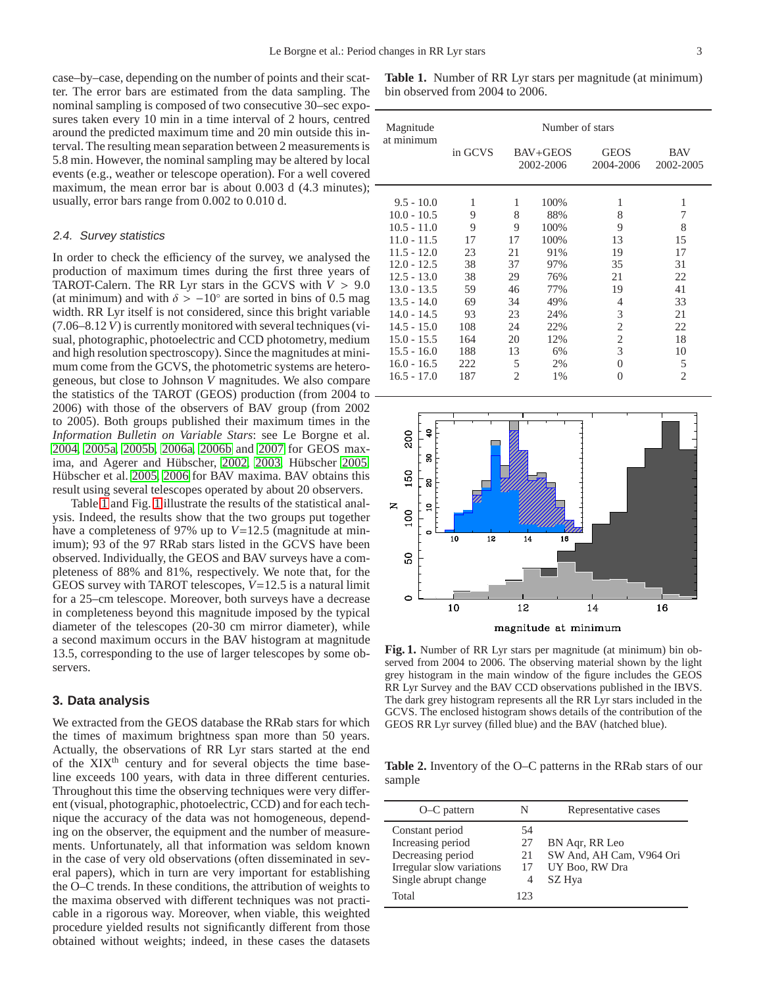case–by–case, depending on the number of points and their scatter. The error bars are estimated from the data sampling. The nominal sampling is composed of two consecutive 30–sec exposures taken every 10 min in a time interval of 2 hours, centred around the predicted maximum time and 20 min outside this interval. The resulting mean separation between 2 measurements is 5.8 min. However, the nominal sampling may be altered by local events (e.g., weather or telescope operation). For a well covered maximum, the mean error bar is about 0.003 d  $(4.3 \text{ minutes})$ ;  $\overline{\phantom{a}}$ usually, error bars range from 0.002 to 0.010 d.

#### 2.4. Survey statistics

In order to check the efficiency of the survey, we analysed the production of maximum times during the first three years of TAROT-Calern. The RR Lyr stars in the GCVS with  $V > 9.0$ (at minimum) and with  $\delta > -10^{\circ}$  are sorted in bins of 0.5 mag width. RR Lyr itself is not considered, since this bright variable (7.06–8.12*V*) is currently monitored with several techniques (visual, photographic, photoelectric and CCD photometry, medium and high resolution spectroscopy). Since the magnitudes at minimum come from the GCVS, the photometric systems are heterogeneous, but close to Johnson *V* magnitudes. We also compare the statistics of the TAROT (GEOS) production (from 2004 to 2006) with those of the observers of BAV group (from 2002 to 2005). Both groups published their maximum times in the *Information Bulletin on Variable Stars*: see Le Borgne et al. [2004,](#page-10-6) [2005a,](#page-11-6) [2005b,](#page-11-7) [2006a,](#page-11-8) [2006b](#page-11-9) and [2007](#page-11-10) for GEOS max-ima, and Agerer and Hübscher, [2002,](#page-10-7) [2003,](#page-10-8) Hübscher [2005,](#page-10-9) Hübscher et al. [2005,](#page-10-10) [2006](#page-10-11) for BAV maxima. BAV obtains this result using several telescopes operated by about 20 observers.

Table [1](#page-2-1) and Fig. [1](#page-2-2) illustrate the results of the statistical analysis. Indeed, the results show that the two groups put together have a completeness of 97% up to *V*=12.5 (magnitude at minimum); 93 of the 97 RRab stars listed in the GCVS have been observed. Individually, the GEOS and BAV surveys have a completeness of 88% and 81%, respectively. We note that, for the GEOS survey with TAROT telescopes, *V*=12.5 is a natural limit for a 25–cm telescope. Moreover, both surveys have a decrease in completeness beyond this magnitude imposed by the typical diameter of the telescopes (20-30 cm mirror diameter), while a second maximum occurs in the BAV histogram at magnitude 13.5, corresponding to the use of larger telescopes by some observers.

## <span id="page-2-0"></span>**3. Data analysis**

We extracted from the GEOS database the RRab stars for which the times of maximum brightness span more than 50 years. Actually, the observations of RR Lyr stars started at the end of the XIX<sup>th</sup> century and for several objects the time baseline exceeds 100 years, with data in three different centuries. Throughout this time the observing techniques were very different (visual, photographic, photoelectric, CCD) and for each technique the accuracy of the data was not homogeneous, depending on the observer, the equipment and the number of measurements. Unfortunately, all that information was seldom known in the case of very old observations (often disseminated in several papers), which in turn are very important for establishing the O–C trends. In these conditions, the attribution of weights to the maxima observed with different techniques was not practicable in a rigorous way. Moreover, when viable, this weighted procedure yielded results not significantly different from those obtained without weights; indeed, in these cases the datasets

<span id="page-2-1"></span>**Table 1.** Number of RR Lyr stars per magnitude (at minimum) bin observed from 2004 to 2006.

| Magnitude     | Number of stars                  |                |                          |                         |                |  |  |
|---------------|----------------------------------|----------------|--------------------------|-------------------------|----------------|--|--|
| at minimum    | in GCVS<br>BAV+GEOS<br>2002-2006 |                | <b>GEOS</b><br>2004-2006 | <b>BAV</b><br>2002-2005 |                |  |  |
| $9.5 - 10.0$  | 1                                | 1              | 100%                     | 1                       | 1              |  |  |
| $10.0 - 10.5$ | 9                                | 8              | 88%                      | 8                       | 7              |  |  |
| $10.5 - 11.0$ | 9                                | 9              | 100%                     | 9                       | 8              |  |  |
| $11.0 - 11.5$ | 17                               | 17             | 100%                     | 13                      | 15             |  |  |
| $11.5 - 12.0$ | 23                               | 21             | 91%                      | 19                      | 17             |  |  |
| $12.0 - 12.5$ | 38                               | 37             | 97%                      | 35                      | 31             |  |  |
| $12.5 - 13.0$ | 38                               | 29             | 76%                      | 21                      | 22             |  |  |
| $13.0 - 13.5$ | 59                               | 46             | 77%                      | 19                      | 41             |  |  |
| $13.5 - 14.0$ | 69                               | 34             | 49%                      | 4                       | 33             |  |  |
| $14.0 - 14.5$ | 93                               | 23             | 24%                      | 3                       | 21             |  |  |
| $14.5 - 15.0$ | 108                              | 24             | 22%                      | 2                       | 22             |  |  |
| $15.0 - 15.5$ | 164                              | 20             | 12%                      | $\overline{2}$          | 18             |  |  |
| $15.5 - 16.0$ | 188                              | 13             | 6%                       | 3                       | 10             |  |  |
| $16.0 - 16.5$ | 222                              | 5              | 2%                       | $\Omega$                | 5              |  |  |
| $16.5 - 17.0$ | 187                              | $\overline{c}$ | 1%                       | 0                       | $\overline{c}$ |  |  |



<span id="page-2-2"></span>**Fig. 1.** Number of RR Lyr stars per magnitude (at minimum) bin observed from 2004 to 2006. The observing material shown by the light grey histogram in the main window of the figure includes the GEOS RR Lyr Survey and the BAV CCD observations published in the IBVS. The dark grey histogram represents all the RR Lyr stars included in the GCVS. The enclosed histogram shows details of the contribution of the GEOS RR Lyr survey (filled blue) and the BAV (hatched blue).

<span id="page-2-3"></span>**Table 2.** Inventory of the O–C patterns in the RRab stars of our sample

| $O-C$ pattern                                                                                                           | N                           | Representative cases                                                   |
|-------------------------------------------------------------------------------------------------------------------------|-----------------------------|------------------------------------------------------------------------|
| Constant period<br>Increasing period<br>Decreasing period<br>Irregular slow variations<br>Single abrupt change<br>Total | 54<br>27<br>21<br>17<br>123 | BN Agr, RR Leo<br>SW And, AH Cam, V964 Ori<br>UY Boo, RW Dra<br>SZ Hya |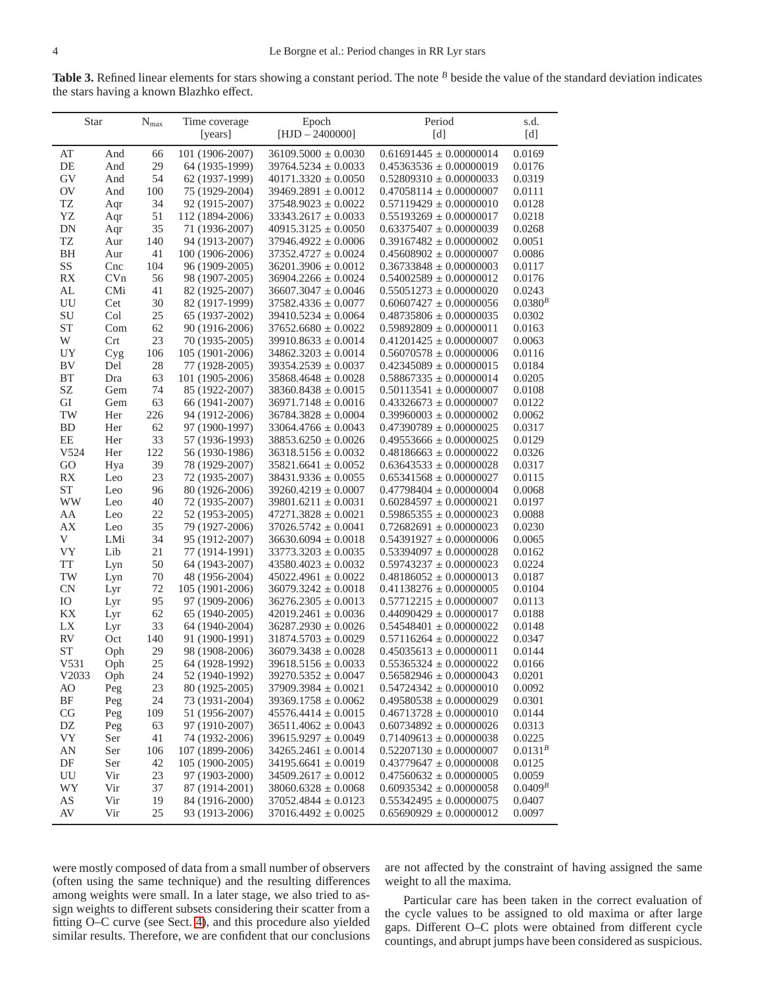<span id="page-3-0"></span>Table 3. Refined linear elements for stars showing a constant period. The note <sup>*B*</sup> beside the value of the standard deviation indicates the stars having a known Blazhko effect.

| Star                   |     | $N_{\rm max}$ | Time coverage   | Epoch                   | Period                      | s.d.         |
|------------------------|-----|---------------|-----------------|-------------------------|-----------------------------|--------------|
|                        |     |               | [years]         | $[HJD - 2400000]$       | [d]                         | [d]          |
| AT                     | And | 66            | 101 (1906-2007) | $36109.5000 \pm 0.0030$ | $0.61691445 \pm 0.00000014$ | 0.0169       |
| DE                     | And | 29            | 64 (1935-1999)  | $39764.5234 \pm 0.0033$ | $0.45363536 \pm 0.00000019$ | 0.0176       |
| GV                     | And | 54            | 62 (1937-1999)  | $40171.3320 \pm 0.0050$ | $0.52809310 \pm 0.00000033$ | 0.0319       |
| <b>OV</b>              | And | 100           | 75 (1929-2004)  | $39469.2891 \pm 0.0012$ | $0.47058114 \pm 0.00000007$ | 0.0111       |
| TZ                     | Aqr | 34            | 92 (1915-2007)  | $37548.9023 \pm 0.0022$ | $0.57119429 \pm 0.00000010$ | 0.0128       |
| YZ                     | Aqr | 51            | 112 (1894-2006) | $33343.2617 \pm 0.0033$ | $0.55193269 \pm 0.00000017$ | 0.0218       |
| DN                     | Aqr | 35            | 71 (1936-2007)  | $40915.3125 \pm 0.0050$ | $0.63375407 \pm 0.00000039$ | 0.0268       |
| TZ                     | Aur | 140           | 94 (1913-2007)  | $37946.4922 \pm 0.0006$ | $0.39167482 \pm 0.00000002$ | 0.0051       |
| <b>BH</b>              | Aur | 41            | 100 (1906-2006) | $37352.4727 \pm 0.0024$ | $0.45608902 \pm 0.00000007$ | 0.0086       |
| SS                     | Cnc | 104           | 96 (1909-2005)  | $36201.3906 \pm 0.0012$ | $0.36733848 \pm 0.00000003$ | 0.0117       |
| $\mathbb{R}\mathbf{X}$ | CVn | 56            | 98 (1907-2005)  | $36904.2266 \pm 0.0024$ | $0.54002589 \pm 0.00000012$ | 0.0176       |
| AL                     | CMi | 41            | 82 (1925-2007)  | $36607.3047 \pm 0.0046$ | $0.55051273 \pm 0.00000020$ | 0.0243       |
| UU                     | Cet | 30            | 82 (1917-1999)  | $37582.4336 \pm 0.0077$ | $0.60607427 \pm 0.00000056$ | $0.0380^{B}$ |
| SU                     | Col | 25            | 65 (1937-2002)  | $39410.5234 \pm 0.0064$ | $0.48735806 \pm 0.00000035$ | 0.0302       |
| <b>ST</b>              | Com | 62            | 90 (1916-2006)  | $37652.6680 \pm 0.0022$ | $0.59892809 \pm 0.00000011$ | 0.0163       |
| W                      | Crt | 23            | 70 (1935-2005)  | $39910.8633 \pm 0.0014$ | $0.41201425 \pm 0.00000007$ | 0.0063       |
| UY                     | Cyg | 106           | 105 (1901-2006) | $34862.3203 \pm 0.0014$ | $0.56070578 \pm 0.00000006$ | 0.0116       |
| <b>BV</b>              | Del | 28            | 77 (1928-2005)  | $39354.2539 \pm 0.0037$ | $0.42345089 \pm 0.00000015$ | 0.0184       |
| <b>BT</b>              | Dra | 63            | 101 (1905-2006) | $35868.4648 \pm 0.0028$ | $0.58867335 \pm 0.00000014$ | 0.0205       |
| SZ                     | Gem | 74            | 85 (1922-2007)  | $38360.8438 \pm 0.0015$ | $0.50113541 \pm 0.00000007$ | 0.0108       |
| GI                     | Gem | 63            | 66 (1941-2007)  | $36971.7148 \pm 0.0016$ | $0.43326673 \pm 0.00000007$ | 0.0122       |
| TW                     | Her | 226           | 94 (1912-2006)  | $36784.3828 \pm 0.0004$ | $0.39960003 \pm 0.00000002$ | 0.0062       |
| <b>BD</b>              | Her | 62            | 97 (1900-1997)  | $33064.4766 \pm 0.0043$ | $0.47390789 \pm 0.00000025$ | 0.0317       |
| EE                     | Her | 33            | 57 (1936-1993)  | $38853.6250 \pm 0.0026$ | $0.49553666 \pm 0.00000025$ | 0.0129       |
| V524                   | Her | 122           | 56 (1930-1986)  | $36318.5156 \pm 0.0032$ | $0.48186663 \pm 0.00000022$ | 0.0326       |
| GO                     | Hya | 39            | 78 (1929-2007)  | $35821.6641 \pm 0.0052$ | $0.63643533 \pm 0.00000028$ | 0.0317       |
| RX                     | Leo | 23            | 72 (1935-2007)  | $38431.9336 \pm 0.0055$ | $0.65341568 \pm 0.00000027$ | 0.0115       |
| <b>ST</b>              | Leo | 96            | 80 (1926-2006)  | $39260.4219 \pm 0.0007$ | $0.47798404 \pm 0.00000004$ | 0.0068       |
| <b>WW</b>              | Leo | 40            | 72 (1935-2007)  | $39801.6211 \pm 0.0031$ | $0.60284597 \pm 0.00000021$ | 0.0197       |
| AA                     | Leo | 22            | 52 (1953-2005)  | $47271.3828 \pm 0.0021$ | $0.59865355 \pm 0.00000023$ | 0.0088       |
| АX                     | Leo | 35            | 79 (1927-2006)  | $37026.5742 \pm 0.0041$ | $0.72682691 \pm 0.00000023$ | 0.0230       |
| V                      | LMi | 34            | 95 (1912-2007)  | $36630.6094 \pm 0.0018$ | $0.54391927 \pm 0.00000006$ | 0.0065       |
| VY                     | Lib | 21            | 77 (1914-1991)  | $33773.3203 \pm 0.0035$ | $0.53394097 \pm 0.00000028$ | 0.0162       |
| <b>TT</b>              | Lyn | 50            | 64 (1943-2007)  | $43580.4023 \pm 0.0032$ | $0.59743237 \pm 0.00000023$ | 0.0224       |
| TW                     | Lyn | 70            | 48 (1956-2004)  | $45022.4961 \pm 0.0022$ | $0.48186052 \pm 0.00000013$ | 0.0187       |
| <b>CN</b>              | Lyr | 72            | 105 (1901-2006) | $36079.3242 \pm 0.0018$ | $0.41138276 \pm 0.00000005$ | 0.0104       |
| IO                     | Lyr | 95            | 97 (1909-2006)  | $36276.2305 \pm 0.0013$ | $0.57712215 \pm 0.00000007$ | 0.0113       |
| KX                     | Lyr | 62            | 65 (1940-2005)  | $42019.2461 \pm 0.0036$ | $0.44090429 \pm 0.00000017$ | 0.0188       |
| LX                     | Lyr | 33            | 64 (1940-2004)  | $36287.2930 \pm 0.0026$ | $0.54548401 \pm 0.00000022$ | 0.0148       |
| <b>RV</b>              | Oct | 140           | 91 (1900-1991)  | $31874.5703 \pm 0.0029$ | $0.57116264 \pm 0.00000022$ | 0.0347       |
| <b>ST</b>              | Oph | 29            | 98 (1908-2006)  | $36079.3438 \pm 0.0028$ | $0.45035613 \pm 0.00000011$ | 0.0144       |
| V531                   | Oph | 25            | 64 (1928-1992)  | $39618.5156 \pm 0.0033$ | $0.55365324 \pm 0.00000022$ | 0.0166       |
| V2033                  | Oph | 24            | 52 (1940-1992)  | $39270.5352 \pm 0.0047$ | $0.56582946 \pm 0.00000043$ | 0.0201       |
| AO                     | Peg | 23            | 80 (1925-2005)  | $37909.3984 \pm 0.0021$ | $0.54724342 \pm 0.00000010$ | 0.0092       |
| BF                     | Peg | 24            | 73 (1931-2004)  | $39369.1758 \pm 0.0062$ | $0.49580538 \pm 0.00000029$ | 0.0301       |
| CG                     | Peg | 109           | 51 (1956-2007)  | $45576.4414 \pm 0.0015$ | $0.46713728 \pm 0.00000010$ | 0.0144       |
| DZ                     | Peg | 63            | 97 (1910-2007)  | $36511.4062 \pm 0.0043$ | $0.60734892 \pm 0.00000026$ | 0.0313       |
| VY                     | Ser | 41            | 74 (1932-2006)  | $39615.9297 \pm 0.0049$ | $0.71409613 \pm 0.00000038$ | 0.0225       |
| AN                     | Ser | 106           | 107 (1899-2006) | $34265.2461 \pm 0.0014$ | $0.52207130 \pm 0.00000007$ | $0.0131^{B}$ |
| DF                     | Ser | 42            | 105 (1900-2005) | $34195.6641 \pm 0.0019$ | $0.43779647 \pm 0.00000008$ | 0.0125       |
| UU                     | Vir | 23            | 97 (1903-2000)  | $34509.2617 \pm 0.0012$ | $0.47560632 \pm 0.00000005$ | 0.0059       |
| WY                     | Vir | 37            | 87 (1914-2001)  | $38060.6328 \pm 0.0068$ | $0.60935342 \pm 0.00000058$ | $0.0409^{B}$ |
| AS                     | Vir | 19            | 84 (1916-2000)  | $37052.4844 \pm 0.0123$ | $0.55342495 \pm 0.00000075$ | 0.0407       |
| AV                     | Vir | 25            | 93 (1913-2006)  | $37016.4492 \pm 0.0025$ | $0.65690929 \pm 0.00000012$ | 0.0097       |

were mostly composed of data from a small number of observers (often using the same technique) and the resulting differences among weights were small. In a later stage, we also tried to assign weights to different subsets considering their scatter from a fitting O–C curve (see Sect. [4\)](#page-6-0), and this procedure also yielded similar results. Therefore, we are confident that our conclusions are not affected by the constraint of having assigned the same weight to all the maxima.

Particular care has been taken in the correct evaluation of the cycle values to be assigned to old maxima or after large gaps. Different O–C plots were obtained from different cycle countings, and abrupt jumps have been considered as suspicious.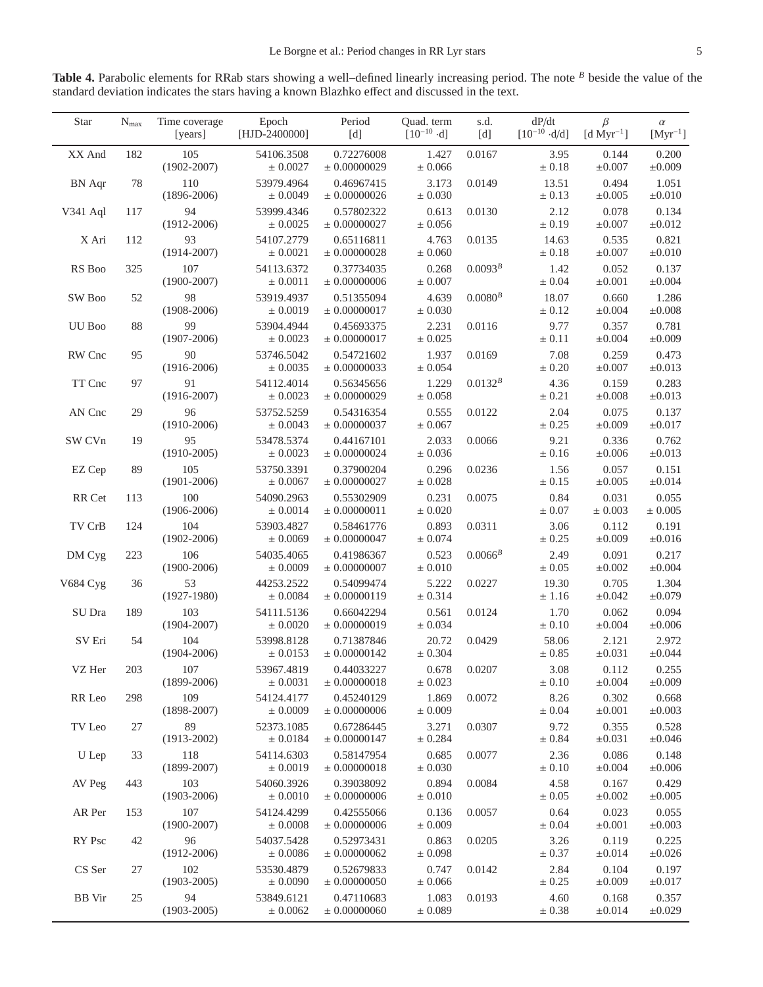<span id="page-4-0"></span>**Table 4.** Parabolic elements for RRab stars showing a well–defined linearly increasing period. The note *<sup>B</sup>* beside the value of the standard deviation indicates the stars having a known Blazhko effect and discussed in the text.

| Star          | $N_{max}$ | Time coverage<br>[years] | Epoch<br>[HJD-2400000]     | Period<br>[d]                  | Ouad. term<br>$[10^{-10} \cdot d]$ | s.d.<br>[d]  | dP/dt<br>$[10^{-10} \cdot d/d]$ | $\beta$<br>$[d$ Myr <sup>-1</sup> ] | $\alpha$<br>$[Myr^{-1}]$ |
|---------------|-----------|--------------------------|----------------------------|--------------------------------|------------------------------------|--------------|---------------------------------|-------------------------------------|--------------------------|
| XX And        | 182       | 105<br>$(1902 - 2007)$   | 54106.3508<br>± 0.0027     | 0.72276008<br>± 0.00000029     | 1.427<br>± 0.066                   | 0.0167       | 3.95<br>$\pm 0.18$              | 0.144<br>$\pm 0.007$                | 0.200<br>±0.009          |
| <b>BN</b> Aqr | 78        | 110<br>$(1896 - 2006)$   | 53979.4964<br>± 0.0049     | 0.46967415<br>± 0.00000026     | 3.173<br>$\pm$ 0.030               | 0.0149       | 13.51<br>$\pm$ 0.13             | 0.494<br>±0.005                     | 1.051<br>$\pm 0.010$     |
| V341 Aql      | 117       | 94<br>$(1912 - 2006)$    | 53999.4346<br>± 0.0025     | 0.57802322<br>± 0.00000027     | 0.613<br>± 0.056                   | 0.0130       | 2.12<br>$\pm 0.19$              | 0.078<br>$\pm 0.007$                | 0.134<br>$\pm 0.012$     |
| X Ari         | 112       | 93<br>$(1914 - 2007)$    | 54107.2779<br>$\pm$ 0.0021 | 0.65116811<br>± 0.00000028     | 4.763<br>$\pm$ 0.060               | 0.0135       | 14.63<br>$\pm 0.18$             | 0.535<br>$\pm 0.007$                | 0.821<br>$\pm 0.010$     |
| RS Boo        | 325       | 107<br>$(1900 - 2007)$   | 54113.6372<br>± 0.0011     | 0.37734035<br>± 0.00000006     | 0.268<br>± 0.007                   | $0.0093^{B}$ | 1.42<br>$\pm 0.04$              | 0.052<br>$\pm 0.001$                | 0.137<br>$\pm 0.004$     |
| SW Boo        | 52        | 98<br>$(1908-2006)$      | 53919.4937<br>± 0.0019     | 0.51355094<br>± 0.00000017     | 4.639<br>$\pm$ 0.030               | $0.0080^{B}$ | 18.07<br>$\pm$ 0.12             | 0.660<br>$\pm 0.004$                | 1.286<br>$\pm 0.008$     |
| UU Boo        | 88        | 99<br>$(1907 - 2006)$    | 53904.4944<br>± 0.0023     | 0.45693375<br>$\pm 0.00000017$ | 2.231<br>± 0.025                   | 0.0116       | 9.77<br>$\pm 0.11$              | 0.357<br>$\pm 0.004$                | 0.781<br>$\pm 0.009$     |
| RW Cnc        | 95        | 90<br>$(1916 - 2006)$    | 53746.5042<br>± 0.0035     | 0.54721602<br>± 0.00000033     | 1.937<br>± 0.054                   | 0.0169       | 7.08<br>$\pm 0.20$              | 0.259<br>$\pm 0.007$                | 0.473<br>$\pm 0.013$     |
| TT Cnc        | 97        | 91<br>$(1916 - 2007)$    | 54112.4014<br>± 0.0023     | 0.56345656<br>± 0.00000029     | 1.229<br>± 0.058                   | $0.0132^{B}$ | 4.36<br>$\pm 0.21$              | 0.159<br>$\pm 0.008$                | 0.283<br>$\pm 0.013$     |
| AN Cnc        | 29        | 96<br>$(1910-2006)$      | 53752.5259<br>± 0.0043     | 0.54316354<br>± 0.00000037     | 0.555<br>$\pm 0.067$               | 0.0122       | 2.04<br>$\pm 0.25$              | 0.075<br>$\pm 0.009$                | 0.137<br>$\pm 0.017$     |
| SW CVn        | 19        | 95<br>$(1910-2005)$      | 53478.5374<br>± 0.0023     | 0.44167101<br>± 0.00000024     | 2.033<br>± 0.036                   | 0.0066       | 9.21<br>$\pm 0.16$              | 0.336<br>$\pm 0.006$                | 0.762<br>$\pm 0.013$     |
| EZ Cep        | 89        | 105<br>$(1901 - 2006)$   | 53750.3391<br>± 0.0067     | 0.37900204<br>± 0.00000027     | 0.296<br>$\pm$ 0.028               | 0.0236       | 1.56<br>$\pm 0.15$              | 0.057<br>±0.005                     | 0.151<br>$\pm 0.014$     |
| RR Cet        | 113       | 100<br>$(1906 - 2006)$   | 54090.2963<br>± 0.0014     | 0.55302909<br>± 0.00000011     | 0.231<br>$\pm$ 0.020               | 0.0075       | 0.84<br>$\pm 0.07$              | 0.031<br>$\pm 0.003$                | 0.055<br>$\pm$ 0.005     |
| TV CrB        | 124       | 104<br>$(1902 - 2006)$   | 53903.4827<br>± 0.0069     | 0.58461776<br>± 0.00000047     | 0.893<br>$\pm$ 0.074               | 0.0311       | 3.06<br>$\pm 0.25$              | 0.112<br>$\pm 0.009$                | 0.191<br>$\pm 0.016$     |
| DM Cyg        | 223       | 106<br>$(1900 - 2006)$   | 54035.4065<br>± 0.0009     | 0.41986367<br>± 0.00000007     | 0.523<br>$\pm$ 0.010               | $0.0066^B$   | 2.49<br>$\pm 0.05$              | 0.091<br>$\pm 0.002$                | 0.217<br>$\pm 0.004$     |
| V684 Cyg      | 36        | 53<br>$(1927-1980)$      | 44253.2522<br>$\pm$ 0.0084 | 0.54099474<br>± 0.00000119     | 5.222<br>± 0.314                   | 0.0227       | 19.30<br>± 1.16                 | 0.705<br>$\pm 0.042$                | 1.304<br>±0.079          |
| SU Dra        | 189       | 103<br>$(1904 - 2007)$   | 54111.5136<br>± 0.0020     | 0.66042294<br>± 0.00000019     | 0.561<br>± 0.034                   | 0.0124       | 1.70<br>$\pm 0.10$              | 0.062<br>$\pm 0.004$                | 0.094<br>$\pm 0.006$     |
| SV Eri        | 54        | 104<br>$(1904 - 2006)$   | 53998.8128<br>± 0.0153     | 0.71387846<br>± 0.00000142     | 20.72<br>± 0.304                   | 0.0429       | 58.06<br>± 0.85                 | 2.121<br>$\pm 0.031$                | 2.972<br>±0.044          |
| VZ Her        | 203       | 107<br>$(1899-2006)$     | 53967.4819<br>± 0.0031     | 0.44033227<br>$\pm 0.00000018$ | 0.678<br>± 0.023                   | 0.0207       | 3.08<br>$\pm 0.10$              | 0.112<br>$\pm 0.004$                | 0.255<br>±0.009          |
| RR Leo        | 298       | 109<br>$(1898 - 2007)$   | 54124.4177<br>± 0.0009     | 0.45240129<br>± 0.00000006     | 1.869<br>$\pm 0.009$               | 0.0072       | 8.26<br>$\pm 0.04$              | 0.302<br>$\pm 0.001$                | 0.668<br>$\pm 0.003$     |
| TV Leo        | 27        | 89<br>$(1913 - 2002)$    | 52373.1085<br>± 0.0184     | 0.67286445<br>$\pm 0.00000147$ | 3.271<br>± 0.284                   | 0.0307       | 9.72<br>$\pm 0.84$              | 0.355<br>$\pm 0.031$                | 0.528<br>±0.046          |
| U Lep         | 33        | 118<br>$(1899 - 2007)$   | 54114.6303<br>± 0.0019     | 0.58147954<br>$\pm 0.00000018$ | 0.685<br>± 0.030                   | 0.0077       | 2.36<br>$\pm 0.10$              | 0.086<br>$\pm 0.004$                | 0.148<br>±0.006          |
| AV Peg        | 443       | 103<br>$(1903 - 2006)$   | 54060.3926<br>± 0.0010     | 0.39038092<br>± 0.00000006     | 0.894<br>± 0.010                   | 0.0084       | 4.58<br>$\pm 0.05$              | 0.167<br>$\pm 0.002$                | 0.429<br>$\pm 0.005$     |
| AR Per        | 153       | 107<br>$(1900 - 2007)$   | 54124.4299<br>± 0.0008     | 0.42555066<br>± 0.00000006     | 0.136<br>$\pm 0.009$               | 0.0057       | 0.64<br>$\pm 0.04$              | 0.023<br>$\pm 0.001$                | 0.055<br>$\pm 0.003$     |
| RY Psc        | 42        | 96<br>$(1912 - 2006)$    | 54037.5428<br>± 0.0086     | 0.52973431<br>± 0.00000062     | 0.863<br>± 0.098                   | 0.0205       | 3.26<br>$\pm 0.37$              | 0.119<br>$\pm 0.014$                | 0.225<br>±0.026          |
| CS Ser        | 27        | 102<br>$(1903 - 2005)$   | 53530.4879<br>± 0.0090     | 0.52679833<br>$\pm 0.00000050$ | 0.747<br>± 0.066                   | 0.0142       | 2.84<br>$\pm$ 0.25              | 0.104<br>±0.009                     | 0.197<br>$\pm 0.017$     |
| <b>BB</b> Vir | 25        | 94<br>$(1903 - 2005)$    | 53849.6121<br>± 0.0062     | 0.47110683<br>± 0.00000060     | 1.083<br>$\pm$ 0.089               | 0.0193       | 4.60<br>$\pm 0.38$              | 0.168<br>$\pm 0.014$                | 0.357<br>±0.029          |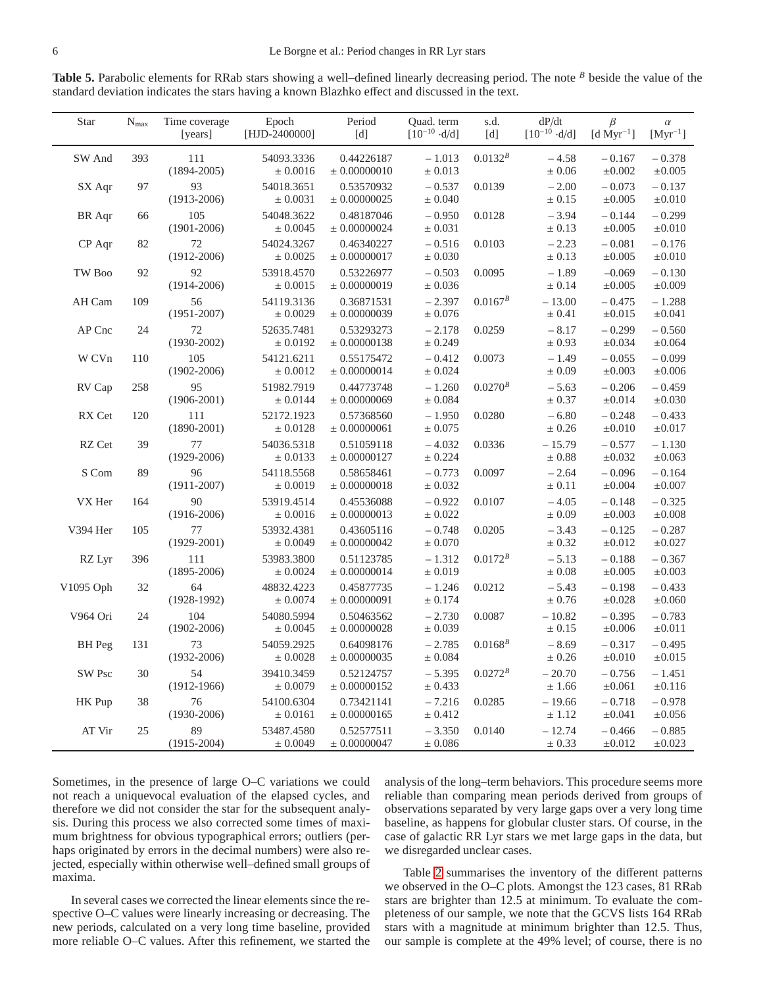<span id="page-5-0"></span>**Table 5.** Parabolic elements for RRab stars showing a well–defined linearly decreasing period. The note *<sup>B</sup>* beside the value of the standard deviation indicates the stars having a known Blazhko effect and discussed in the text.

| <b>Star</b>       | $N_{max}$ | Time coverage<br>[years] | Epoch<br>[HJD-2400000]     | Period<br>[d]                  | Quad. term<br>$[10^{-10} \cdot d/d]$ | s.d.<br>[d]  | dP/dt<br>$[10^{-10} \cdot d/d]$ | $\beta$<br>$[d$ Myr <sup>-1</sup> ] | $\alpha$<br>$[Myr^{-1}]$ |
|-------------------|-----------|--------------------------|----------------------------|--------------------------------|--------------------------------------|--------------|---------------------------------|-------------------------------------|--------------------------|
| SW And            | 393       | 111<br>$(1894 - 2005)$   | 54093.3336<br>± 0.0016     | 0.44226187<br>$\pm$ 0.00000010 | $-1.013$<br>± 0.013                  | $0.0132^{B}$ | $-4.58$<br>$\pm 0.06$           | $-0.167$<br>$\pm 0.002$             | $-0.378$<br>$\pm 0.005$  |
| SX Aqr            | 97        | 93<br>$(1913 - 2006)$    | 54018.3651<br>± 0.0031     | 0.53570932<br>± 0.00000025     | $-0.537$<br>± 0.040                  | 0.0139       | $-2.00$<br>± 0.15               | $-0.073$<br>$\pm 0.005$             | $-0.137$<br>$\pm 0.010$  |
| <b>BR</b> Aqr     | 66        | 105<br>$(1901 - 2006)$   | 54048.3622<br>± 0.0045     | 0.48187046<br>$\pm 0.00000024$ | $-0.950$<br>± 0.031                  | 0.0128       | $-3.94$<br>$\pm 0.13$           | $-0.144$<br>±0.005                  | $-0.299$<br>$\pm 0.010$  |
| CP Aqr            | 82        | 72<br>$(1912 - 2006)$    | 54024.3267<br>± 0.0025     | 0.46340227<br>$\pm$ 0.00000017 | $-0.516$<br>± 0.030                  | 0.0103       | $-2.23$<br>$\pm 0.13$           | $-0.081$<br>±0.005                  | $-0.176$<br>$\pm 0.010$  |
| TW <sub>Boo</sub> | 92        | 92<br>$(1914 - 2006)$    | 53918.4570<br>± 0.0015     | 0.53226977<br>± 0.00000019     | $-0.503$<br>± 0.036                  | 0.0095       | $-1.89$<br>± 0.14               | $-0.069$<br>±0.005                  | $-0.130$<br>$\pm 0.009$  |
| AH Cam            | 109       | 56<br>$(1951 - 2007)$    | 54119.3136<br>± 0.0029     | 0.36871531<br>± 0.00000039     | $-2.397$<br>$\pm$ 0.076              | $0.0167^{B}$ | $-13.00$<br>± 0.41              | $-0.475$<br>$\pm 0.015$             | $-1.288$<br>$\pm 0.041$  |
| AP Cnc            | 24        | 72<br>$(1930 - 2002)$    | 52635.7481<br>± 0.0192     | 0.53293273<br>$\pm 0.00000138$ | $-2.178$<br>± 0.249                  | 0.0259       | $-8.17$<br>± 0.93               | $-0.299$<br>±0.034                  | $-0.560$<br>±0.064       |
| W CVn             | 110       | 105<br>$(1902 - 2006)$   | 54121.6211<br>± 0.0012     | 0.55175472<br>± 0.00000014     | $-0.412$<br>± 0.024                  | 0.0073       | $-1.49$<br>$\pm 0.09$           | $-0.055$<br>$\pm 0.003$             | $-0.099$<br>$\pm 0.006$  |
| RV Cap            | 258       | 95<br>$(1906 - 2001)$    | 51982.7919<br>± 0.0144     | 0.44773748<br>± 0.00000069     | $-1.260$<br>± 0.084                  | $0.0270^{B}$ | $-5.63$<br>$\pm 0.37$           | $-0.206$<br>$\pm 0.014$             | $-0.459$<br>$\pm 0.030$  |
| RX Cet            | 120       | 111<br>$(1890 - 2001)$   | 52172.1923<br>± 0.0128     | 0.57368560<br>$\pm 0.00000061$ | $-1.950$<br>± 0.075                  | 0.0280       | $-6.80$<br>± 0.26               | $-0.248$<br>$\pm 0.010$             | $-0.433$<br>$\pm 0.017$  |
| RZ Cet            | 39        | 77<br>$(1929 - 2006)$    | 54036.5318<br>± 0.0133     | 0.51059118<br>± 0.00000127     | $-4.032$<br>± 0.224                  | 0.0336       | $-15.79$<br>$\pm$ 0.88          | $-0.577$<br>±0.032                  | $-1.130$<br>±0.063       |
| S Com             | 89        | 96<br>$(1911 - 2007)$    | 54118.5568<br>± 0.0019     | 0.58658461<br>± 0.00000018     | $-0.773$<br>± 0.032                  | 0.0097       | $-2.64$<br>$\pm 0.11$           | $-0.096$<br>$\pm 0.004$             | $-0.164$<br>$\pm 0.007$  |
| VX Her            | 164       | 90<br>$(1916 - 2006)$    | 53919.4514<br>± 0.0016     | 0.45536088<br>$\pm 0.00000013$ | $-0.922$<br>± 0.022                  | 0.0107       | $-4.05$<br>$\pm 0.09$           | $-0.148$<br>$\pm 0.003$             | $-0.325$<br>$\pm 0.008$  |
| V394 Her          | 105       | 77<br>$(1929 - 2001)$    | 53932.4381<br>± 0.0049     | 0.43605116<br>± 0.00000042     | $-0.748$<br>$\pm$ 0.070              | 0.0205       | $-3.43$<br>± 0.32               | $-0.125$<br>$\pm 0.012$             | $-0.287$<br>$\pm 0.027$  |
| RZ Lyr            | 396       | 111<br>$(1895 - 2006)$   | 53983.3800<br>± 0.0024     | 0.51123785<br>± 0.00000014     | $-1.312$<br>$\pm 0.019$              | $0.0172^{B}$ | $-5.13$<br>$\pm 0.08$           | $-0.188$<br>$\pm 0.005$             | $-0.367$<br>$\pm 0.003$  |
| V1095 Oph         | 32        | 64<br>$(1928-1992)$      | 48832.4223<br>± 0.0074     | 0.45877735<br>$\pm 0.00000091$ | $-1.246$<br>± 0.174                  | 0.0212       | $-5.43$<br>± 0.76               | $-0.198$<br>±0.028                  | $-0.433$<br>±0.060       |
| V964 Ori          | 24        | 104<br>$(1902 - 2006)$   | 54080.5994<br>± 0.0045     | 0.50463562<br>± 0.00000028     | $-2.730$<br>± 0.039                  | 0.0087       | $-10.82$<br>± 0.15              | $-0.395$<br>±0.006                  | $-0.783$<br>±0.011       |
| BH Peg            | 131       | 73<br>$(1932 - 2006)$    | 54059.2925<br>± 0.0028     | 0.64098176<br>$\pm 0.00000035$ | $-2.785$<br>$\pm$ 0.084              | $0.0168^{B}$ | $-8.69$<br>$\pm$ 0.26           | $-0.317$<br>$\pm 0.010$             | $-0.495$<br>$\pm 0.015$  |
| SW Psc            | 30        | 54<br>$(1912 - 1966)$    | 39410.3459<br>± 0.0079     | 0.52124757<br>$\pm$ 0.00000152 | $-5.395$<br>± 0.433                  | $0.0272^{B}$ | $-20.70$<br>±1.66               | $-0.756$<br>$\pm 0.061$             | $-1.451$<br>±0.116       |
| HK Pup            | 38        | 76<br>$(1930 - 2006)$    | 54100.6304<br>$\pm$ 0.0161 | 0.73421141<br>± 0.00000165     | $-7.216$<br>± 0.412                  | 0.0285       | $-19.66$<br>± 1.12              | $-0.718$<br>$\pm 0.041$             | $-0.978$<br>±0.056       |
| AT Vir            | 25        | 89<br>$(1915 - 2004)$    | 53487.4580<br>± 0.0049     | 0.52577511<br>$\pm 0.00000047$ | $-3.350$<br>± 0.086                  | 0.0140       | $-12.74$<br>± 0.33              | $-0.466$<br>$\pm 0.012$             | $-0.885$<br>±0.023       |

Sometimes, in the presence of large O–C variations we could not reach a uniquevocal evaluation of the elapsed cycles, and therefore we did not consider the star for the subsequent analysis. During this process we also corrected some times of maximum brightness for obvious typographical errors; outliers (perhaps originated by errors in the decimal numbers) were also rejected, especially within otherwise well–defined small groups of maxima.

analysis of the long–term behaviors. This procedure seems more reliable than comparing mean periods derived from groups of observations separated by very large gaps over a very long time baseline, as happens for globular cluster stars. Of course, in the case of galactic RR Lyr stars we met large gaps in the data, but we disregarded unclear cases.

In several cases we corrected the linear elements since the respective O–C values were linearly increasing or decreasing. The new periods, calculated on a very long time baseline, provided more reliable O–C values. After this refinement, we started the

Table [2](#page-2-3) summarises the inventory of the different patterns we observed in the O–C plots. Amongst the 123 cases, 81 RRab stars are brighter than 12.5 at minimum. To evaluate the completeness of our sample, we note that the GCVS lists 164 RRab stars with a magnitude at minimum brighter than 12.5. Thus, our sample is complete at the 49% level; of course, there is no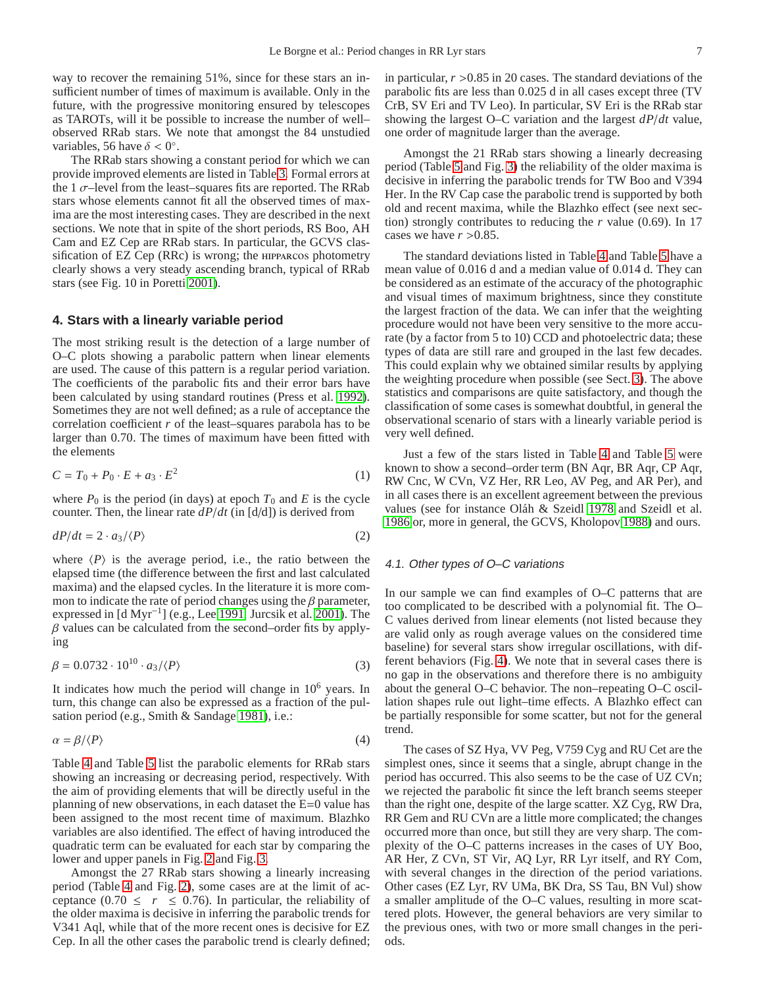way to recover the remaining 51%, since for these stars an insufficient number of times of maximum is available. Only in the future, with the progressive monitoring ensured by telescopes as TAROTs, will it be possible to increase the number of well– observed RRab stars. We note that amongst the 84 unstudied variables, 56 have  $\delta < 0^\circ$ .

The RRab stars showing a constant period for which we can provide improved elements are listed in Table [3.](#page-3-0) Formal errors at the 1  $\sigma$ -level from the least-squares fits are reported. The RRab stars whose elements cannot fit all the observed times of maxima are the most interesting cases. They are described in the next sections. We note that in spite of the short periods, RS Boo, AH Cam and EZ Cep are RRab stars. In particular, the GCVS classification of  $EZ$  Cep  $(RRc)$  is wrong; the  $HPPARcos$  photometry clearly shows a very steady ascending branch, typical of RRab stars (see Fig. 10 in Poretti [2001\)](#page-11-11).

## <span id="page-6-0"></span>**4. Stars with a linearly variable period**

The most striking result is the detection of a large number of O–C plots showing a parabolic pattern when linear elements are used. The cause of this pattern is a regular period variation. The coefficients of the parabolic fits and their error bars have been calculated by using standard routines (Press et al. [1992\)](#page-11-12). Sometimes they are not well defined; as a rule of acceptance the correlation coefficient *r* of the least–squares parabola has to be larger than 0.70. The times of maximum have been fitted with the elements

$$
C = T_0 + P_0 \cdot E + a_3 \cdot E^2 \tag{1}
$$

where  $P_0$  is the period (in days) at epoch  $T_0$  and  $E$  is the cycle counter. Then, the linear rate *dP*/*dt* (in [d/d]) is derived from

$$
dP/dt = 2 \cdot a_3 / \langle P \rangle \tag{2}
$$

where  $\langle P \rangle$  is the average period, i.e., the ratio between the elapsed time (the difference between the first and last calculated maxima) and the elapsed cycles. In the literature it is more common to indicate the rate of period changes using the  $\beta$  parameter, expressed in [d Myr−<sup>1</sup> ] (e.g., Lee [1991,](#page-11-1) Jurcsik et al. [2001\)](#page-10-0). The  $\beta$  values can be calculated from the second–order fits by applying

$$
\beta = 0.0732 \cdot 10^{10} \cdot a_3 / \langle P \rangle \tag{3}
$$

It indicates how much the period will change in  $10<sup>6</sup>$  years. In turn, this change can also be expressed as a fraction of the pulsation period (e.g., Smith & Sandage [1981\)](#page-11-0), i.e.:

$$
\alpha = \beta / \langle P \rangle \tag{4}
$$

Table [4](#page-4-0) and Table [5](#page-5-0) list the parabolic elements for RRab stars showing an increasing or decreasing period, respectively. With the aim of providing elements that will be directly useful in the planning of new observations, in each dataset the E=0 value has been assigned to the most recent time of maximum. Blazhko variables are also identified. The effect of having introduced the quadratic term can be evaluated for each star by comparing the lower and upper panels in Fig. [2](#page-12-0) and Fig. [3.](#page-13-0)

Amongst the 27 RRab stars showing a linearly increasing period (Table [4](#page-4-0) and Fig. [2\)](#page-12-0), some cases are at the limit of acceptance (0.70  $\leq r \leq 0.76$ ). In particular, the reliability of the older maxima is decisive in inferring the parabolic trends for V341 Aql, while that of the more recent ones is decisive for EZ Cep. In all the other cases the parabolic trend is clearly defined;

in particular,  $r > 0.85$  in 20 cases. The standard deviations of the parabolic fits are less than 0.025 d in all cases except three (TV CrB, SV Eri and TV Leo). In particular, SV Eri is the RRab star showing the largest O–C variation and the largest *dP*/*dt* value, one order of magnitude larger than the average.

Amongst the 21 RRab stars showing a linearly decreasing period (Table [5](#page-5-0) and Fig. [3\)](#page-13-0) the reliability of the older maxima is decisive in inferring the parabolic trends for TW Boo and V394 Her. In the RV Cap case the parabolic trend is supported by both old and recent maxima, while the Blazhko effect (see next section) strongly contributes to reducing the *r* value (0.69). In 17 cases we have  $r > 0.85$ .

The standard deviations listed in Table [4](#page-4-0) and Table [5](#page-5-0) have a mean value of 0.016 d and a median value of 0.014 d. They can be considered as an estimate of the accuracy of the photographic and visual times of maximum brightness, since they constitute the largest fraction of the data. We can infer that the weighting procedure would not have been very sensitive to the more accurate (by a factor from 5 to 10) CCD and photoelectric data; these types of data are still rare and grouped in the last few decades. This could explain why we obtained similar results by applying the weighting procedure when possible (see Sect. [3\)](#page-2-0). The above statistics and comparisons are quite satisfactory, and though the classification of some cases is somewhat doubtful, in general the observational scenario of stars with a linearly variable period is very well defined.

Just a few of the stars listed in Table [4](#page-4-0) and Table [5](#page-5-0) were known to show a second–order term (BN Aqr, BR Aqr, CP Aqr, RW Cnc, W CVn, VZ Her, RR Leo, AV Peg, and AR Per), and in all cases there is an excellent agreement between the previous values (see for instance Oláh & Szeidl [1978](#page-11-4) and Szeidl et al. [1986](#page-11-5) or, more in general, the GCVS, Kholopov [1988\)](#page-10-5) and ours.

#### 4.1. Other types of O–C variations

In our sample we can find examples of O–C patterns that are too complicated to be described with a polynomial fit. The O– C values derived from linear elements (not listed because they are valid only as rough average values on the considered time baseline) for several stars show irregular oscillations, with different behaviors (Fig. [4\)](#page-14-0). We note that in several cases there is no gap in the observations and therefore there is no ambiguity about the general O–C behavior. The non–repeating O–C oscillation shapes rule out light–time effects. A Blazhko effect can be partially responsible for some scatter, but not for the general trend.

The cases of SZ Hya, VV Peg, V759 Cyg and RU Cet are the simplest ones, since it seems that a single, abrupt change in the period has occurred. This also seems to be the case of UZ CVn; we rejected the parabolic fit since the left branch seems steeper than the right one, despite of the large scatter. XZ Cyg, RW Dra, RR Gem and RU CVn are a little more complicated; the changes occurred more than once, but still they are very sharp. The complexity of the O–C patterns increases in the cases of UY Boo, AR Her, Z CVn, ST Vir, AQ Lyr, RR Lyr itself, and RY Com, with several changes in the direction of the period variations. Other cases (EZ Lyr, RV UMa, BK Dra, SS Tau, BN Vul) show a smaller amplitude of the O–C values, resulting in more scattered plots. However, the general behaviors are very similar to the previous ones, with two or more small changes in the periods.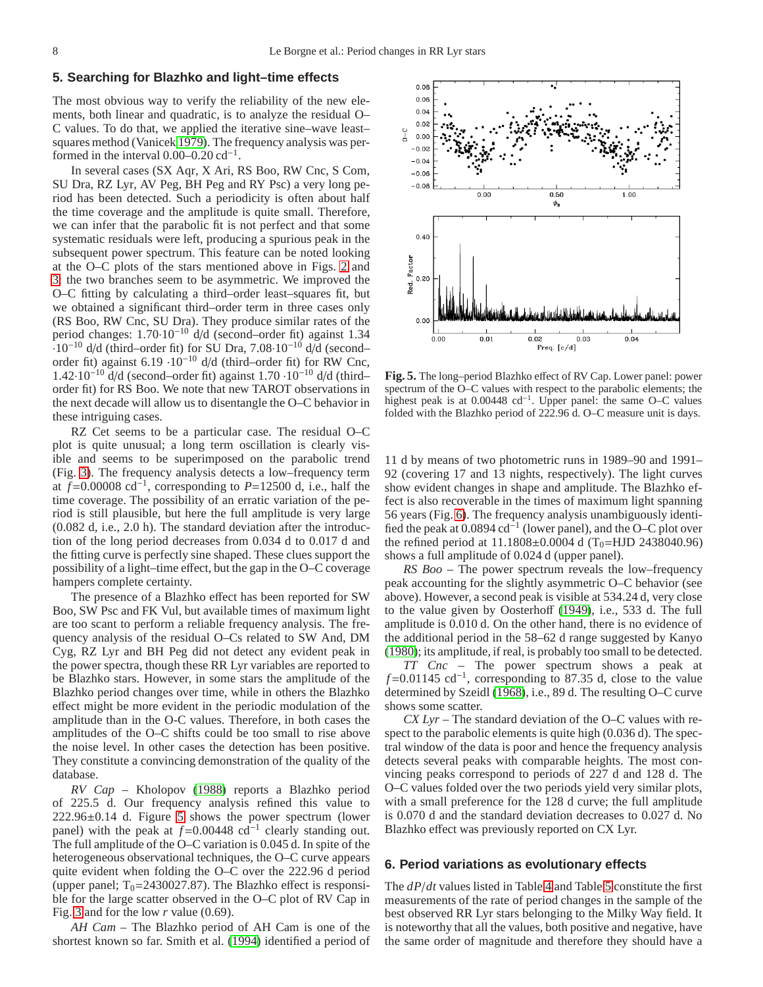## <span id="page-7-0"></span>**5. Searching for Blazhko and light–time effects**

The most obvious way to verify the reliability of the new elements, both linear and quadratic, is to analyze the residual O– C values. To do that, we applied the iterative sine–wave least– squares method (Vanicek [1979\)](#page-11-13). The frequency analysis was performed in the interval  $0.00-0.20 \text{ cd}^{-1}$ .

In several cases (SX Aqr, X Ari, RS Boo, RW Cnc, S Com, SU Dra, RZ Lyr, AV Peg, BH Peg and RY Psc) a very long period has been detected. Such a periodicity is often about half the time coverage and the amplitude is quite small. Therefore, we can infer that the parabolic fit is not perfect and that some systematic residuals were left, producing a spurious peak in the subsequent power spectrum. This feature can be noted looking at the O–C plots of the stars mentioned above in Figs. [2](#page-12-0) and [3:](#page-13-0) the two branches seem to be asymmetric. We improved the O–C fitting by calculating a third–order least–squares fit, but we obtained a significant third–order term in three cases only (RS Boo, RW Cnc, SU Dra). They produce similar rates of the period changes: 1.70·10−<sup>10</sup> d/d (second–order fit) against 1.34  $\cdot$ 10<sup>-10</sup> d/d (third–order fit) for SU Dra, 7.08·10<sup>-10</sup> d/d (second– order fit) against 6.19 ·10−<sup>10</sup> d/d (third–order fit) for RW Cnc,  $1.42 \cdot 10^{-10}$  d/d (second–order fit) against  $1.70 \cdot 10^{-10}$  d/d (third– order fit) for RS Boo. We note that new TAROT observations in the next decade will allow us to disentangle the O–C behavior in these intriguing cases.

RZ Cet seems to be a particular case. The residual O–C plot is quite unusual; a long term oscillation is clearly visible and seems to be superimposed on the parabolic trend (Fig. [3\)](#page-13-0). The frequency analysis detects a low–frequency term at  $f=0.00008$  cd<sup>-1</sup>, corresponding to  $P=12500$  d, i.e., half the time coverage. The possibility of an erratic variation of the period is still plausible, but here the full amplitude is very large (0.082 d, i.e., 2.0 h). The standard deviation after the introduction of the long period decreases from 0.034 d to 0.017 d and the fitting curve is perfectly sine shaped. These clues support the possibility of a light–time effect, but the gap in the O–C coverage hampers complete certainty.

The presence of a Blazhko effect has been reported for SW Boo, SW Psc and FK Vul, but available times of maximum light are too scant to perform a reliable frequency analysis. The frequency analysis of the residual O–Cs related to SW And, DM Cyg, RZ Lyr and BH Peg did not detect any evident peak in the power spectra, though these RR Lyr variables are reported to be Blazhko stars. However, in some stars the amplitude of the Blazhko period changes over time, while in others the Blazhko effect might be more evident in the periodic modulation of the amplitude than in the O-C values. Therefore, in both cases the amplitudes of the O–C shifts could be too small to rise above the noise level. In other cases the detection has been positive. They constitute a convincing demonstration of the quality of the database.

*RV Cap* – Kholopov [\(1988\)](#page-10-5) reports a Blazhko period of 225.5 d. Our frequency analysis refined this value to 222.96±0.14 d. Figure [5](#page-7-2) shows the power spectrum (lower panel) with the peak at  $f=0.00448$  cd<sup>-1</sup> clearly standing out. The full amplitude of the O–C variation is 0.045 d. In spite of the heterogeneous observational techniques, the O–C curve appears quite evident when folding the O–C over the 222.96 d period (upper panel;  $T_0$ =2430027.87). The Blazhko effect is responsible for the large scatter observed in the O–C plot of RV Cap in Fig. [3](#page-13-0) and for the low *r* value (0.69).

*AH Cam* – The Blazhko period of AH Cam is one of the shortest known so far. Smith et al. [\(1994\)](#page-11-14) identified a period of



<span id="page-7-2"></span>**Fig. 5.** The long–period Blazhko effect of RV Cap. Lower panel: power spectrum of the O–C values with respect to the parabolic elements; the highest peak is at 0.00448 cd<sup>−</sup><sup>1</sup> . Upper panel: the same O–C values folded with the Blazhko period of 222.96 d. O–C measure unit is days.

11 d by means of two photometric runs in 1989–90 and 1991– 92 (covering 17 and 13 nights, respectively). The light curves show evident changes in shape and amplitude. The Blazhko effect is also recoverable in the times of maximum light spanning 56 years (Fig. [6\)](#page-8-0). The frequency analysis unambiguously identified the peak at  $0.0894$  cd<sup>-1</sup> (lower panel), and the O–C plot over the refined period at  $11.1808 \pm 0.0004$  d (T<sub>0</sub>=HJD 2438040.96) shows a full amplitude of 0.024 d (upper panel).

*RS Boo* – The power spectrum reveals the low–frequency peak accounting for the slightly asymmetric O–C behavior (see above). However, a second peak is visible at 534.24 d, very close to the value given by Oosterhoff [\(1949\)](#page-11-15), i.e., 533 d. The full amplitude is 0.010 d. On the other hand, there is no evidence of the additional period in the 58–62 d range suggested by Kanyo [\(1980\)](#page-10-12); its amplitude, if real, is probably too small to be detected.

*TT Cnc* – The power spectrum shows a peak at *f*=0.01145 cd<sup>-1</sup>, corresponding to 87.35 d, close to the value determined by Szeidl [\(1968\)](#page-11-16), i.e., 89 d. The resulting O–C curve shows some scatter.

*CX Lyr* – The standard deviation of the O–C values with respect to the parabolic elements is quite high (0.036 d). The spectral window of the data is poor and hence the frequency analysis detects several peaks with comparable heights. The most convincing peaks correspond to periods of 227 d and 128 d. The O–C values folded over the two periods yield very similar plots, with a small preference for the 128 d curve; the full amplitude is 0.070 d and the standard deviation decreases to 0.027 d. No Blazhko effect was previously reported on CX Lyr.

## <span id="page-7-1"></span>**6. Period variations as evolutionary effects**

The *dP*/*dt* values listed in Table [4](#page-4-0) and Table [5](#page-5-0) constitute the first measurements of the rate of period changes in the sample of the best observed RR Lyr stars belonging to the Milky Way field. It is noteworthy that all the values, both positive and negative, have the same order of magnitude and therefore they should have a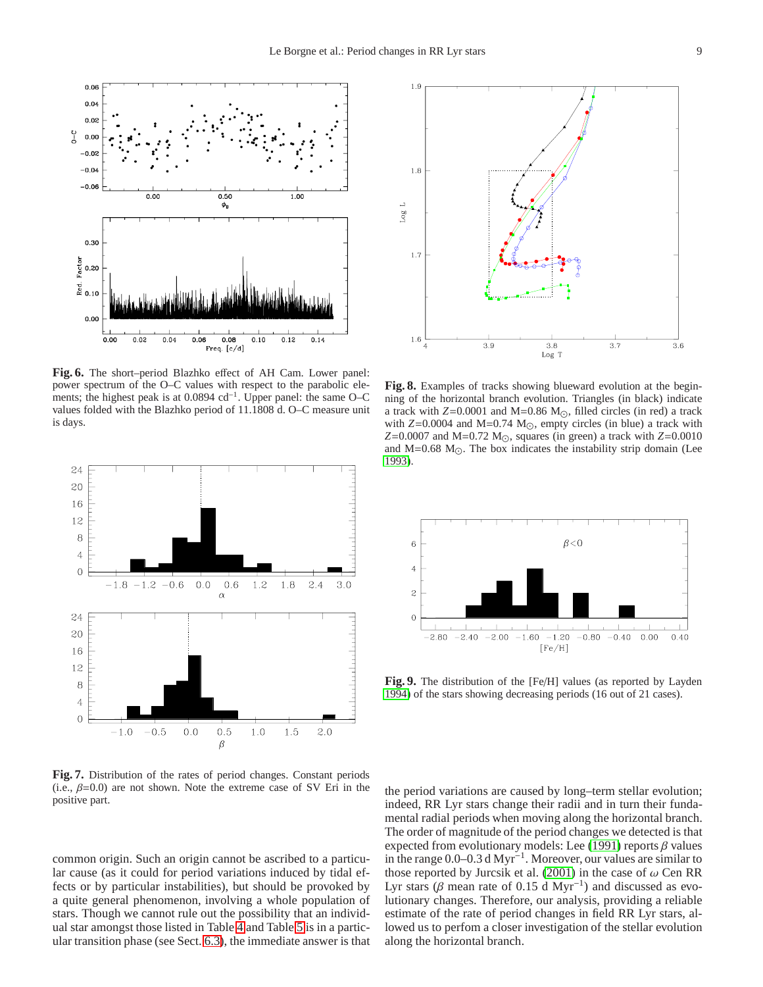

<span id="page-8-0"></span>**Fig. 6.** The short–period Blazhko effect of AH Cam. Lower panel: power spectrum of the O–C values with respect to the parabolic elements; the highest peak is at 0.0894 cd<sup>-1</sup>. Upper panel: the same O–C values folded with the Blazhko period of 11.1808 d. O–C measure unit is days.



<span id="page-8-1"></span>**Fig. 7.** Distribution of the rates of period changes. Constant periods (i.e.,  $\beta$ =0.0) are not shown. Note the extreme case of SV Eri in the positive part.

common origin. Such an origin cannot be ascribed to a particular cause (as it could for period variations induced by tidal effects or by particular instabilities), but should be provoked by a quite general phenomenon, involving a whole population of stars. Though we cannot rule out the possibility that an individual star amongst those listed in Table [4](#page-4-0) and Table [5](#page-5-0) is in a particular transition phase (see Sect. [6.3\)](#page-10-13), the immediate answer is that



<span id="page-8-2"></span>**Fig. 8.** Examples of tracks showing blueward evolution at the beginning of the horizontal branch evolution. Triangles (in black) indicate a track with  $Z=0.0001$  and M=0.86 M<sub> $\odot$ </sub>, filled circles (in red) a track with *Z*=0.0004 and M=0.74 M<sub>☉</sub>, empty circles (in blue) a track with *Z*=0.0007 and M=0.72 M<sub>☉</sub>, squares (in green) a track with *Z*=0.0010 and M=0.68 M $\odot$ . The box indicates the instability strip domain (Lee [1993\)](#page-11-17).



<span id="page-8-3"></span>**Fig. 9.** The distribution of the [Fe/H] values (as reported by Layden [1994\)](#page-10-14) of the stars showing decreasing periods (16 out of 21 cases).

the period variations are caused by long–term stellar evolution; indeed, RR Lyr stars change their radii and in turn their fundamental radial periods when moving along the horizontal branch. The order of magnitude of the period changes we detected is that expected from evolutionary models: Lee [\(1991\)](#page-11-1) reports  $\beta$  values in the range 0.0–0.3 d Myr<sup>−</sup><sup>1</sup> . Moreover, our values are similar to those reported by Jurcsik et al. [\(2001\)](#page-10-0) in the case of  $\omega$  Cen RR Lyr stars ( $\beta$  mean rate of 0.15 d Myr<sup>-1</sup>) and discussed as evolutionary changes. Therefore, our analysis, providing a reliable estimate of the rate of period changes in field RR Lyr stars, allowed us to perfom a closer investigation of the stellar evolution along the horizontal branch.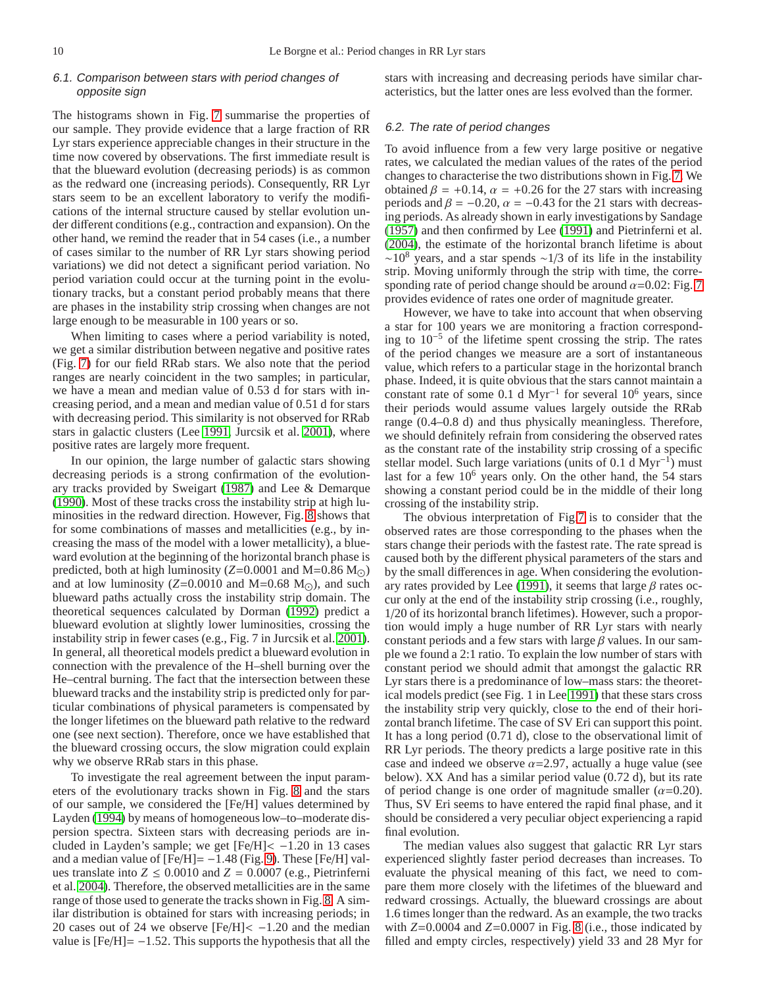## 6.1. Comparison between stars with period changes of opposite sign

The histograms shown in Fig. [7](#page-8-1) summarise the properties of our sample. They provide evidence that a large fraction of RR Lyr stars experience appreciable changes in their structure in the time now covered by observations. The first immediate result is that the blueward evolution (decreasing periods) is as common as the redward one (increasing periods). Consequently, RR Lyr stars seem to be an excellent laboratory to verify the modifications of the internal structure caused by stellar evolution under different conditions (e.g., contraction and expansion). On the other hand, we remind the reader that in 54 cases (i.e., a number of cases similar to the number of RR Lyr stars showing period variations) we did not detect a significant period variation. No period variation could occur at the turning point in the evolutionary tracks, but a constant period probably means that there are phases in the instability strip crossing when changes are not large enough to be measurable in 100 years or so.

When limiting to cases where a period variability is noted, we get a similar distribution between negative and positive rates (Fig. [7\)](#page-8-1) for our field RRab stars. We also note that the period ranges are nearly coincident in the two samples; in particular, we have a mean and median value of 0.53 d for stars with increasing period, and a mean and median value of 0.51 d for stars with decreasing period. This similarity is not observed for RRab stars in galactic clusters (Lee [1991,](#page-11-1) Jurcsik et al. [2001\)](#page-10-0), where positive rates are largely more frequent.

In our opinion, the large number of galactic stars showing decreasing periods is a strong confirmation of the evolutionary tracks provided by Sweigart [\(1987\)](#page-11-18) and Lee & Demarque [\(1990\)](#page-11-19). Most of these tracks cross the instability strip at high luminosities in the redward direction. However, Fig. [8](#page-8-2) shows that for some combinations of masses and metallicities (e.g., by increasing the mass of the model with a lower metallicity), a blueward evolution at the beginning of the horizontal branch phase is predicted, both at high luminosity ( $Z=0.0001$  and M=0.86 M<sub> $\odot$ </sub>) and at low luminosity ( $Z=0.0010$  and M=0.68 M<sub> $\odot$ </sub>), and such blueward paths actually cross the instability strip domain. The theoretical sequences calculated by Dorman [\(1992\)](#page-10-15) predict a blueward evolution at slightly lower luminosities, crossing the instability strip in fewer cases (e.g., Fig. 7 in Jurcsik et al. [2001\)](#page-10-0). In general, all theoretical models predict a blueward evolution in connection with the prevalence of the H–shell burning over the He–central burning. The fact that the intersection between these blueward tracks and the instability strip is predicted only for particular combinations of physical parameters is compensated by the longer lifetimes on the blueward path relative to the redward one (see next section). Therefore, once we have established that the blueward crossing occurs, the slow migration could explain why we observe RRab stars in this phase.

To investigate the real agreement between the input parameters of the evolutionary tracks shown in Fig. [8](#page-8-2) and the stars of our sample, we considered the [Fe/H] values determined by Layden [\(1994\)](#page-10-14) by means of homogeneous low–to–moderate dispersion spectra. Sixteen stars with decreasing periods are included in Layden's sample; we get  $[Fe/H] < -1.20$  in 13 cases and a median value of  $[Fe/H] = -1.48$  (Fig. [9\)](#page-8-3). These  $[Fe/H]$  values translate into  $Z \leq 0.0010$  and  $Z = 0.0007$  (e.g., Pietrinferni et al. [2004\)](#page-11-20). Therefore, the observed metallicities are in the same range of those used to generate the tracks shown in Fig. [8.](#page-8-2) A similar distribution is obtained for stars with increasing periods; in 20 cases out of 24 we observe  $[Fe/H] < -1.20$  and the median value is  $[Fe/H] = -1.52$ . This supports the hypothesis that all the stars with increasing and decreasing periods have similar characteristics, but the latter ones are less evolved than the former.

## 6.2. The rate of period changes

To avoid influence from a few very large positive or negative rates, we calculated the median values of the rates of the period changes to characterise the two distributions shown in Fig. [7.](#page-8-1) We obtained  $\beta = +0.14$ ,  $\alpha = +0.26$  for the 27 stars with increasing periods and  $\beta = -0.20$ ,  $\alpha = -0.43$  for the 21 stars with decreasing periods. As already shown in early investigations by Sandage [\(1957\)](#page-11-21) and then confirmed by Lee [\(1991\)](#page-11-1) and Pietrinferni et al. [\(2004\)](#page-11-20), the estimate of the horizontal branch lifetime is about  $~\sim$ 10<sup>8</sup> years, and a star spends  $~\sim$ 1/3 of its life in the instability strip. Moving uniformly through the strip with time, the corresponding rate of period change should be around  $\alpha$ =0.02: Fig. [7](#page-8-1) provides evidence of rates one order of magnitude greater.

However, we have to take into account that when observing a star for 100 years we are monitoring a fraction corresponding to 10−<sup>5</sup> of the lifetime spent crossing the strip. The rates of the period changes we measure are a sort of instantaneous value, which refers to a particular stage in the horizontal branch phase. Indeed, it is quite obvious that the stars cannot maintain a constant rate of some 0.1 d Myr−<sup>1</sup> for several 10<sup>6</sup> years, since their periods would assume values largely outside the RRab range (0.4–0.8 d) and thus physically meaningless. Therefore, we should definitely refrain from considering the observed rates as the constant rate of the instability strip crossing of a specific stellar model. Such large variations (units of 0.1 d Myr<sup>-1</sup>) must last for a few  $10<sup>6</sup>$  years only. On the other hand, the 54 stars showing a constant period could be in the middle of their long crossing of the instability strip.

The obvious interpretation of Fig[.7](#page-8-1) is to consider that the observed rates are those corresponding to the phases when the stars change their periods with the fastest rate. The rate spread is caused both by the different physical parameters of the stars and by the small differences in age. When considering the evolution-ary rates provided by Lee [\(1991\)](#page-11-1), it seems that large  $\beta$  rates occur only at the end of the instability strip crossing (i.e., roughly, 1/20 of its horizontal branch lifetimes). However, such a proportion would imply a huge number of RR Lyr stars with nearly constant periods and a few stars with large  $\beta$  values. In our sample we found a 2:1 ratio. To explain the low number of stars with constant period we should admit that amongst the galactic RR Lyr stars there is a predominance of low–mass stars: the theoretical models predict (see Fig. 1 in Lee [1991\)](#page-11-1) that these stars cross the instability strip very quickly, close to the end of their horizontal branch lifetime. The case of SV Eri can support this point. It has a long period (0.71 d), close to the observational limit of RR Lyr periods. The theory predicts a large positive rate in this case and indeed we observe  $\alpha$ =2.97, actually a huge value (see below). XX And has a similar period value (0.72 d), but its rate of period change is one order of magnitude smaller  $(\alpha=0.20)$ . Thus, SV Eri seems to have entered the rapid final phase, and it should be considered a very peculiar object experiencing a rapid final evolution.

The median values also suggest that galactic RR Lyr stars experienced slightly faster period decreases than increases. To evaluate the physical meaning of this fact, we need to compare them more closely with the lifetimes of the blueward and redward crossings. Actually, the blueward crossings are about 1.6 times longer than the redward. As an example, the two tracks with  $Z=0.0004$  and  $Z=0.0007$  in Fig. [8](#page-8-2) (i.e., those indicated by filled and empty circles, respectively) yield 33 and 28 Myr for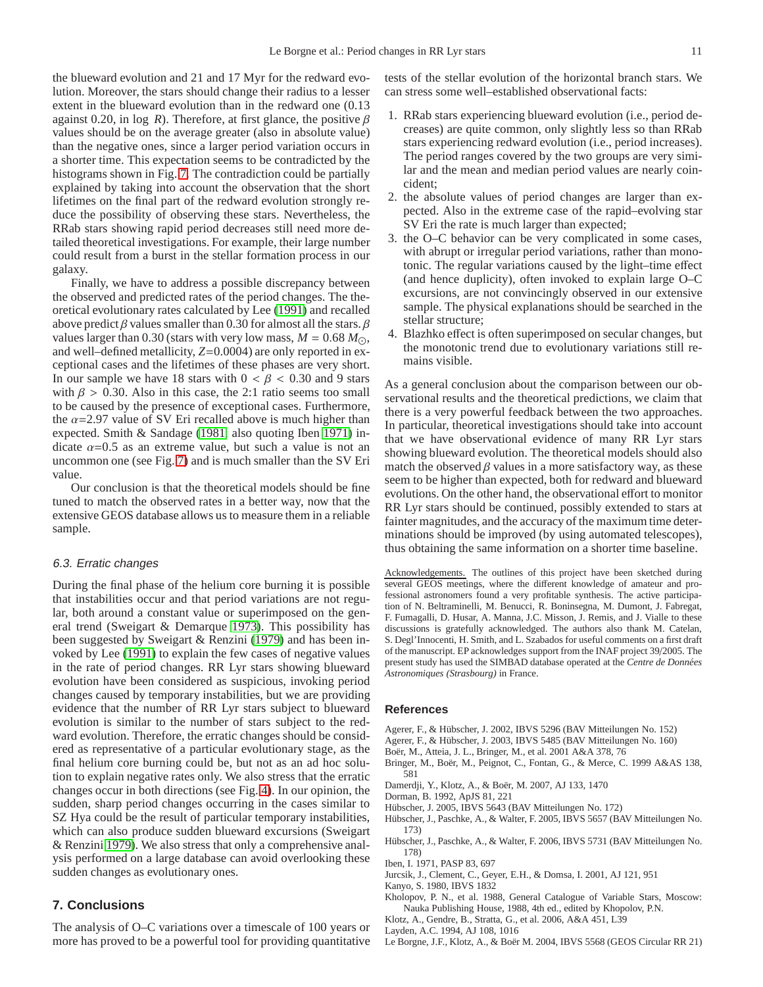the blueward evolution and 21 and 17 Myr for the redward evolution. Moreover, the stars should change their radius to a lesser extent in the blueward evolution than in the redward one (0.13 against 0.20, in log *R*). Therefore, at first glance, the positive  $\beta$ values should be on the average greater (also in absolute value) than the negative ones, since a larger period variation occurs in a shorter time. This expectation seems to be contradicted by the histograms shown in Fig. [7.](#page-8-1) The contradiction could be partially explained by taking into account the observation that the short lifetimes on the final part of the redward evolution strongly reduce the possibility of observing these stars. Nevertheless, the RRab stars showing rapid period decreases still need more detailed theoretical investigations. For example, their large number could result from a burst in the stellar formation process in our galaxy.

Finally, we have to address a possible discrepancy between the observed and predicted rates of the period changes. The theoretical evolutionary rates calculated by Lee [\(1991\)](#page-11-1) and recalled above predict  $\beta$  values smaller than 0.30 for almost all the stars.  $\beta$ values larger than 0.30 (stars with very low mass,  $M = 0.68 M_{\odot}$ , and well–defined metallicity, *Z*=0.0004) are only reported in exceptional cases and the lifetimes of these phases are very short. In our sample we have 18 stars with  $0 < \beta < 0.30$  and 9 stars with  $\beta > 0.30$ . Also in this case, the 2:1 ratio seems too small to be caused by the presence of exceptional cases. Furthermore, the  $\alpha$ =2.97 value of SV Eri recalled above is much higher than expected. Smith & Sandage [\(1981,](#page-11-0) also quoting Iben [1971\)](#page-10-16) indicate  $\alpha$ =0.5 as an extreme value, but such a value is not an uncommon one (see Fig. [7\)](#page-8-1) and is much smaller than the SV Eri value.

Our conclusion is that the theoretical models should be fine tuned to match the observed rates in a better way, now that the extensive GEOS database allows us to measure them in a reliable sample.

#### <span id="page-10-13"></span>6.3. Erratic changes

During the final phase of the helium core burning it is possible that instabilities occur and that period variations are not regular, both around a constant value or superimposed on the general trend (Sweigart & Demarque [1973\)](#page-11-22). This possibility has been suggested by Sweigart & Renzini [\(1979\)](#page-11-2) and has been invoked by Lee [\(1991\)](#page-11-1) to explain the few cases of negative values in the rate of period changes. RR Lyr stars showing blueward evolution have been considered as suspicious, invoking period changes caused by temporary instabilities, but we are providing evidence that the number of RR Lyr stars subject to blueward evolution is similar to the number of stars subject to the redward evolution. Therefore, the erratic changes should be considered as representative of a particular evolutionary stage, as the final helium core burning could be, but not as an ad hoc solution to explain negative rates only. We also stress that the erratic changes occur in both directions (see Fig. [4\)](#page-14-0). In our opinion, the sudden, sharp period changes occurring in the cases similar to SZ Hya could be the result of particular temporary instabilities, which can also produce sudden blueward excursions (Sweigart & Renzini [1979\)](#page-11-2). We also stress that only a comprehensive analysis performed on a large database can avoid overlooking these sudden changes as evolutionary ones.

# **7. Conclusions**

The analysis of O–C variations over a timescale of 100 years or more has proved to be a powerful tool for providing quantitative

tests of the stellar evolution of the horizontal branch stars. We can stress some well–established observational facts:

- 1. RRab stars experiencing blueward evolution (i.e., period decreases) are quite common, only slightly less so than RRab stars experiencing redward evolution (i.e., period increases). The period ranges covered by the two groups are very similar and the mean and median period values are nearly coincident;
- 2. the absolute values of period changes are larger than expected. Also in the extreme case of the rapid–evolving star SV Eri the rate is much larger than expected;
- 3. the O–C behavior can be very complicated in some cases, with abrupt or irregular period variations, rather than monotonic. The regular variations caused by the light–time effect (and hence duplicity), often invoked to explain large O–C excursions, are not convincingly observed in our extensive sample. The physical explanations should be searched in the stellar structure;
- 4. Blazhko effect is often superimposed on secular changes, but the monotonic trend due to evolutionary variations still remains visible.

As a general conclusion about the comparison between our observational results and the theoretical predictions, we claim that there is a very powerful feedback between the two approaches. In particular, theoretical investigations should take into account that we have observational evidence of many RR Lyr stars showing blueward evolution. The theoretical models should also match the observed  $\beta$  values in a more satisfactory way, as these seem to be higher than expected, both for redward and blueward evolutions. On the other hand, the observational effort to monitor RR Lyr stars should be continued, possibly extended to stars at fainter magnitudes, and the accuracy of the maximum time determinations should be improved (by using automated telescopes), thus obtaining the same information on a shorter time baseline.

Acknowledgements. The outlines of this project have been sketched during several GEOS meetings, where the different knowledge of amateur and professional astronomers found a very profitable synthesis. The active participation of N. Beltraminelli, M. Benucci, R. Boninsegna, M. Dumont, J. Fabregat, F. Fumagalli, D. Husar, A. Manna, J.C. Misson, J. Remis, and J. Vialle to these discussions is gratefully acknowledged. The authors also thank M. Catelan, S. Degl'Innocenti, H. Smith, and L. Szabados for useful comments on a first draft of the manuscript. EP acknowledges support from the INAF project 39/2005. The present study has used the SIMBAD database operated at the *Centre de Données Astronomiques (Strasbourg)* in France.

#### **References**

- <span id="page-10-7"></span>Agerer, F., & Hübscher, J. 2002, IBVS 5296 (BAV Mitteilungen No. 152)
- <span id="page-10-8"></span>Agerer, F., & Hübscher, J. 2003, IBVS 5485 (BAV Mitteilungen No. 160)
- <span id="page-10-3"></span>Boër, M., Atteia, J. L., Bringer, M., et al. 2001 A&A 378, 76
- <span id="page-10-1"></span>Bringer, M., Boër, M., Peignot, C., Fontan, G., & Merce, C. 1999 A&AS 138, 581
- <span id="page-10-4"></span>Damerdji, Y., Klotz, A., & Boër, M. 2007, AJ 133, 1470
- <span id="page-10-15"></span>Dorman, B. 1992, ApJS 81, 221
- <span id="page-10-9"></span>Hübscher, J. 2005, IBVS 5643 (BAV Mitteilungen No. 172)
- <span id="page-10-10"></span>Hübscher, J., Paschke, A., & Walter, F. 2005, IBVS 5657 (BAV Mitteilungen No. 173)
- <span id="page-10-11"></span>Hübscher, J., Paschke, A., & Walter, F. 2006, IBVS 5731 (BAV Mitteilungen No. 178)
- <span id="page-10-16"></span>Iben, I. 1971, PASP 83, 697
- <span id="page-10-0"></span>Jurcsik, J., Clement, C., Geyer, E.H., & Domsa, I. 2001, AJ 121, 951

<span id="page-10-12"></span>Kanyo, S. 1980, IBVS 1832

- <span id="page-10-5"></span>Kholopov, P. N., et al. 1988, General Catalogue of Variable Stars, Moscow: Nauka Publishing House, 1988, 4th ed., edited by Khopolov, P.N.
- <span id="page-10-2"></span>Klotz, A., Gendre, B., Stratta, G., et al. 2006, A&A 451, L39
- <span id="page-10-14"></span>Layden, A.C. 1994, AJ 108, 1016
- <span id="page-10-6"></span>Le Borgne, J.F., Klotz, A., & Boër M. 2004, IBVS 5568 (GEOS Circular RR 21)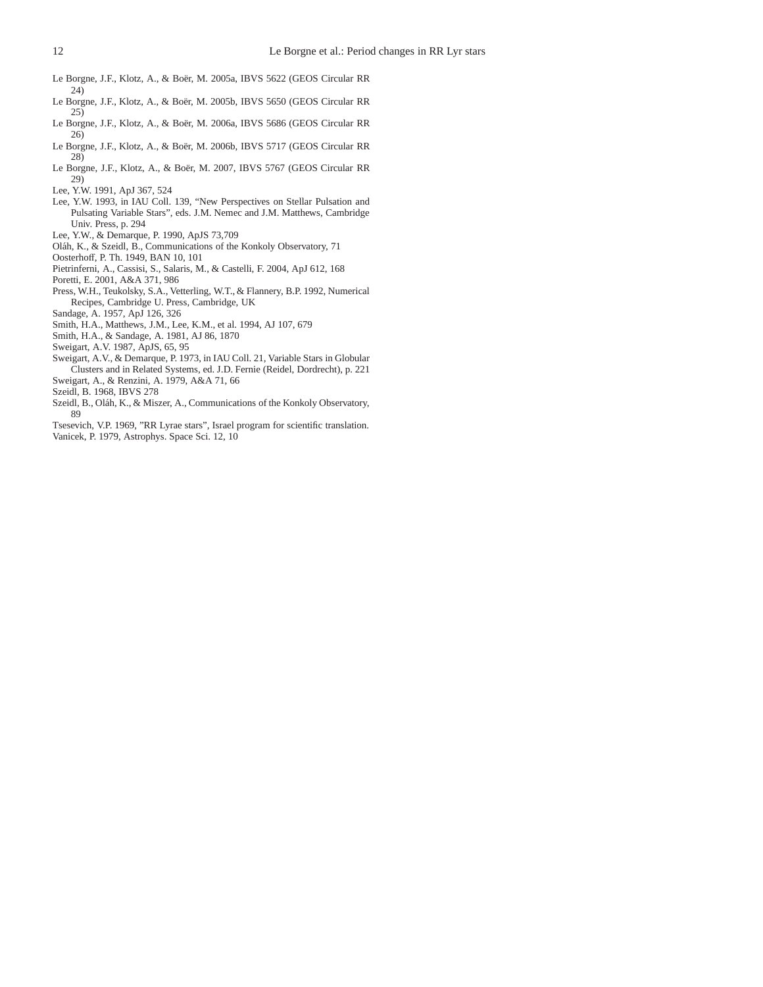- <span id="page-11-6"></span>Le Borgne, J.F., Klotz, A., & Boër, M. 2005a, IBVS 5622 (GEOS Circular RR 24)
- <span id="page-11-7"></span>Le Borgne, J.F., Klotz, A., & Boër, M. 2005b, IBVS 5650 (GEOS Circular RR 25)
- <span id="page-11-8"></span>Le Borgne, J.F., Klotz, A., & Boër, M. 2006a, IBVS 5686 (GEOS Circular RR 26)
- <span id="page-11-9"></span>Le Borgne, J.F., Klotz, A., & Boër, M. 2006b, IBVS 5717 (GEOS Circular RR 28)
- <span id="page-11-10"></span>Le Borgne, J.F., Klotz, A., & Boër, M. 2007, IBVS 5767 (GEOS Circular RR 29)
- <span id="page-11-1"></span>Lee, Y.W. 1991, ApJ 367, 524
- <span id="page-11-17"></span>Lee, Y.W. 1993, in IAU Coll. 139, "New Perspectives on Stellar Pulsation and Pulsating Variable Stars", eds. J.M. Nemec and J.M. Matthews, Cambridge Univ. Press, p. 294
- <span id="page-11-19"></span>Lee, Y.W., & Demarque, P. 1990, ApJS 73,709
- <span id="page-11-4"></span>Oláh, K., & Szeidl, B., Communications of the Konkoly Observatory, 71
- <span id="page-11-15"></span>Oosterhoff, P. Th. 1949, BAN 10, 101
- <span id="page-11-20"></span>Pietrinferni, A., Cassisi, S., Salaris, M., & Castelli, F. 2004, ApJ 612, 168
- <span id="page-11-11"></span>Poretti, E. 2001, A&A 371, 986
- <span id="page-11-12"></span>Press, W.H., Teukolsky, S.A., Vetterling, W.T., & Flannery, B.P. 1992, Numerical Recipes, Cambridge U. Press, Cambridge, UK
- <span id="page-11-21"></span>Sandage, A. 1957, ApJ 126, 326
- <span id="page-11-14"></span>Smith, H.A., Matthews, J.M., Lee, K.M., et al. 1994, AJ 107, 679
- <span id="page-11-0"></span>Smith, H.A., & Sandage, A. 1981, AJ 86, 1870

<span id="page-11-18"></span>Sweigart, A.V. 1987, ApJS, 65, 95

- <span id="page-11-22"></span>Sweigart, A.V., & Demarque, P. 1973, in IAU Coll. 21, Variable Stars in Globular Clusters and in Related Systems, ed. J.D. Fernie (Reidel, Dordrecht), p. 221 Sweigart, A., & Renzini, A. 1979, A&A 71, 66
- <span id="page-11-16"></span><span id="page-11-2"></span>Szeidl, B. 1968, IBVS 278
- <span id="page-11-5"></span>Szeidl, B., Oláh, K., & Miszer, A., Communications of the Konkoly Observatory, 89
- <span id="page-11-13"></span><span id="page-11-3"></span>Tsesevich, V.P. 1969, "RR Lyrae stars", Israel program for scientific translation. Vanicek, P. 1979, Astrophys. Space Sci. 12, 10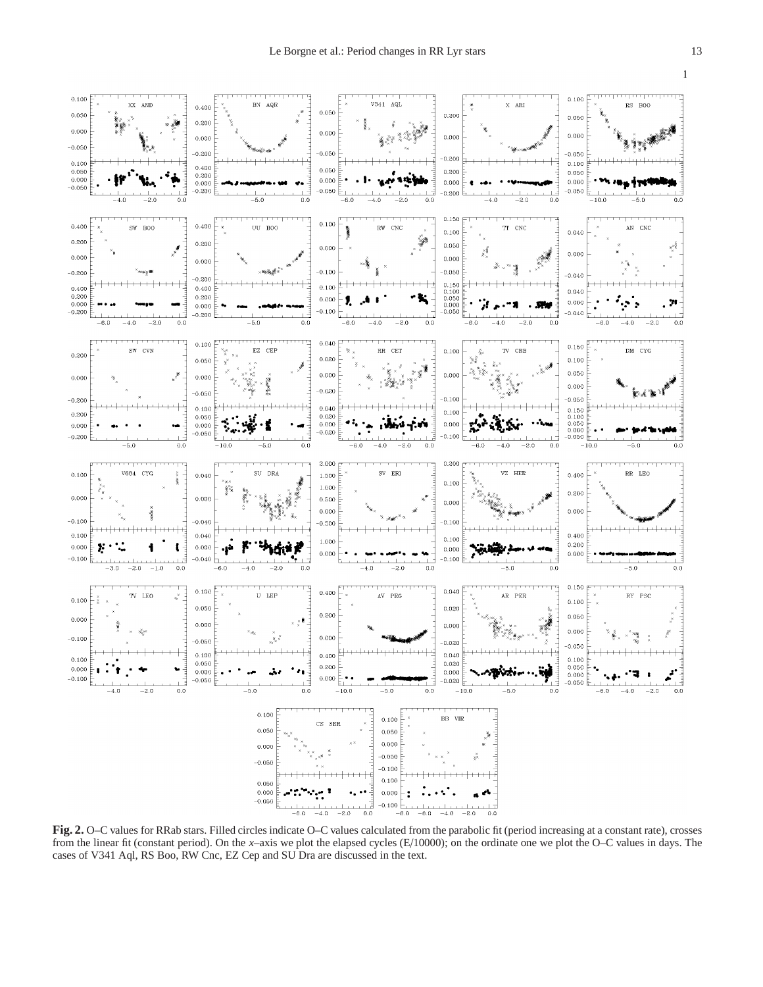

<span id="page-12-0"></span>**Fig. 2.** O–C values for RRab stars. Filled circles indicate O–C values calculated from the parabolic fit (period increasing at a constant rate), crosses from the linear fit (constant period). On the *x*–axis we plot the elapsed cycles (E/10000); on the ordinate one we plot the O–C values in days. The cases of V341 Aql, RS Boo, RW Cnc, EZ Cep and SU Dra are discussed in the text.

 $\mathbf{1}$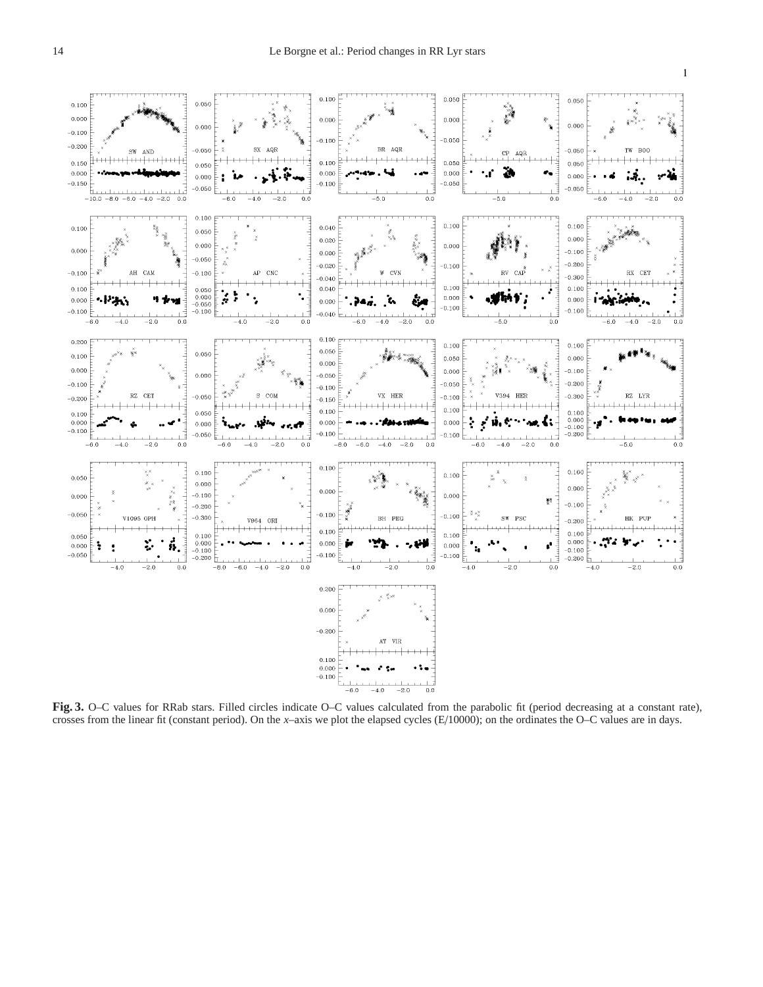

<span id="page-13-0"></span>**Fig. 3.** O–C values for RRab stars. Filled circles indicate O–C values calculated from the parabolic fit (period decreasing at a constant rate), crosses from the linear fit (constant period). On the *x*–axis we plot the elapsed cycles (E/10000); on the ordinates the O–C values are in days.